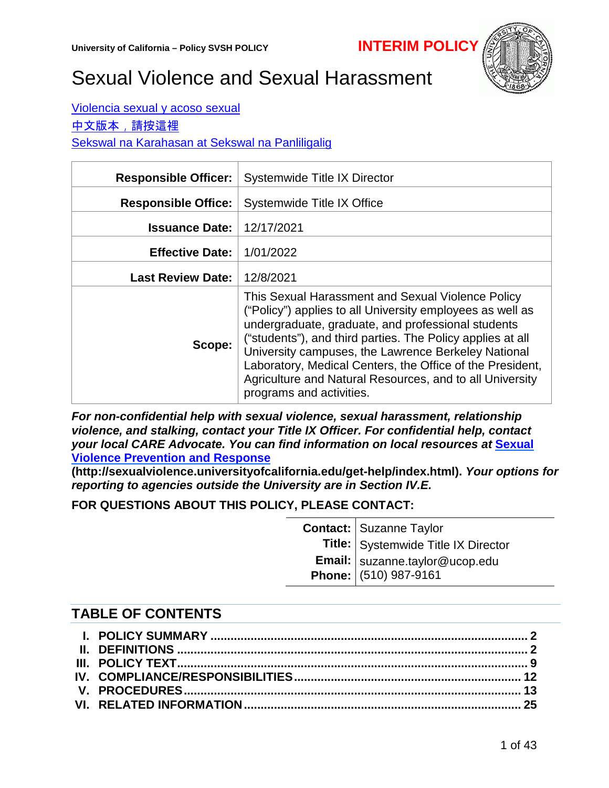

# Sexual Violence and Sexual Harassment

#### [Violencia sexual y acoso sexual](http://policy.ucop.edu/doc/4030385)

#### [中文版本](http://policy.ucop.edu/doc/4040385/SHSV-CN),請按這裡

[Sekswal na Karahasan at Sekswal na Panliligalig](https://policy.ucop.edu/doc/4000650/SVSH-Tagalog)

| <b>Responsible Officer:</b> | Systemwide Title IX Director                                                                                                                                                                                                                                                                                                                                                                                                                   |  |
|-----------------------------|------------------------------------------------------------------------------------------------------------------------------------------------------------------------------------------------------------------------------------------------------------------------------------------------------------------------------------------------------------------------------------------------------------------------------------------------|--|
| <b>Responsible Office:</b>  | Systemwide Title IX Office                                                                                                                                                                                                                                                                                                                                                                                                                     |  |
| <b>Issuance Date:</b>       | 12/17/2021                                                                                                                                                                                                                                                                                                                                                                                                                                     |  |
| <b>Effective Date:</b>      | 1/01/2022                                                                                                                                                                                                                                                                                                                                                                                                                                      |  |
| <b>Last Review Date:</b>    | 12/8/2021                                                                                                                                                                                                                                                                                                                                                                                                                                      |  |
| Scope:                      | This Sexual Harassment and Sexual Violence Policy<br>("Policy") applies to all University employees as well as<br>undergraduate, graduate, and professional students<br>("students"), and third parties. The Policy applies at all<br>University campuses, the Lawrence Berkeley National<br>Laboratory, Medical Centers, the Office of the President,<br>Agriculture and Natural Resources, and to all University<br>programs and activities. |  |

*For non-confidential help with sexual violence, sexual harassment, relationship violence, and stalking, contact your Title IX Officer. For confidential help, contact your local CARE Advocate. You can find information on local resources at* **[Sexual](http://sexualviolence.universityofcalifornia.edu/get-help/index.html)  [Violence Prevention and Response](http://sexualviolence.universityofcalifornia.edu/get-help/index.html)**

**(http://sexualviolence.universityofcalifornia.edu/get-help/index.html).** *Your options for reporting to agencies outside the University are in Section IV.E.*

#### **FOR QUESTIONS ABOUT THIS POLICY, PLEASE CONTACT:**

| <b>Contact:</b> Suzanne Taylor<br>Title: Systemwide Title IX Director<br>Email: suzanne.taylor@ucop.edu<br>Phone: (510) 987-9161 |  |
|----------------------------------------------------------------------------------------------------------------------------------|--|
|                                                                                                                                  |  |
|                                                                                                                                  |  |
|                                                                                                                                  |  |

## **TABLE OF CONTENTS**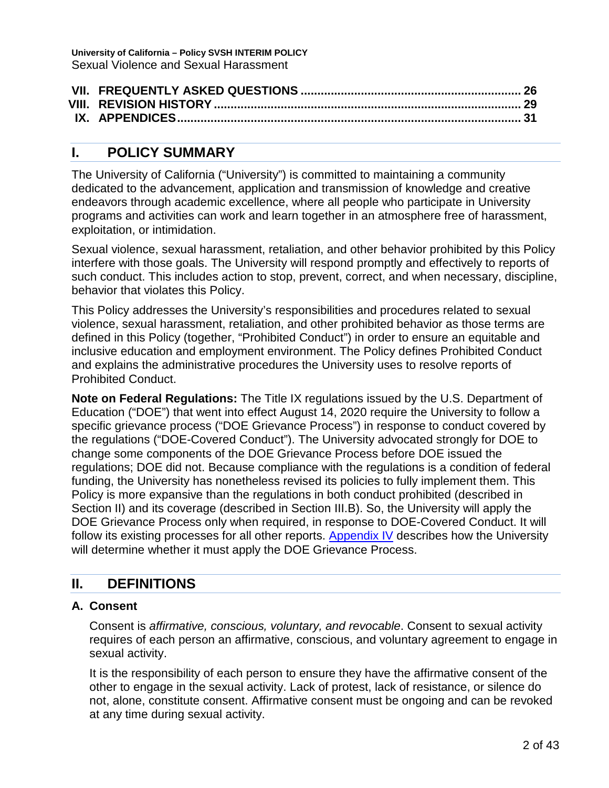# <span id="page-1-0"></span>**I. POLICY SUMMARY**

The University of California ("University") is committed to maintaining a community dedicated to the advancement, application and transmission of knowledge and creative endeavors through academic excellence, where all people who participate in University programs and activities can work and learn together in an atmosphere free of harassment, exploitation, or intimidation.

Sexual violence, sexual harassment, retaliation, and other behavior prohibited by this Policy interfere with those goals. The University will respond promptly and effectively to reports of such conduct. This includes action to stop, prevent, correct, and when necessary, discipline, behavior that violates this Policy.

This Policy addresses the University's responsibilities and procedures related to sexual violence, sexual harassment, retaliation, and other prohibited behavior as those terms are defined in this Policy (together, "Prohibited Conduct") in order to ensure an equitable and inclusive education and employment environment. The Policy defines Prohibited Conduct and explains the administrative procedures the University uses to resolve reports of Prohibited Conduct.

**Note on Federal Regulations:** The Title IX regulations issued by the U.S. Department of Education ("DOE") that went into effect August 14, 2020 require the University to follow a specific grievance process ("DOE Grievance Process") in response to conduct covered by the regulations ("DOE-Covered Conduct"). The University advocated strongly for DOE to change some components of the DOE Grievance Process before DOE issued the regulations; DOE did not. Because compliance with the regulations is a condition of federal funding, the University has nonetheless revised its policies to fully implement them. This Policy is more expansive than the regulations in both conduct prohibited (described in Section II) and its coverage (described in Section III.B). So, the University will apply the DOE Grievance Process only when required, in response to DOE-Covered Conduct. It will follow its existing processes for all other reports. [Appendix IV](#page-34-0) describes how the University will determine whether it must apply the DOE Grievance Process.

# <span id="page-1-1"></span>**II. DEFINITIONS**

#### **A. Consent**

Consent is *affirmative, conscious, voluntary, and revocable*. Consent to sexual activity requires of each person an affirmative, conscious, and voluntary agreement to engage in sexual activity.

It is the responsibility of each person to ensure they have the affirmative consent of the other to engage in the sexual activity. Lack of protest, lack of resistance, or silence do not, alone, constitute consent. Affirmative consent must be ongoing and can be revoked at any time during sexual activity.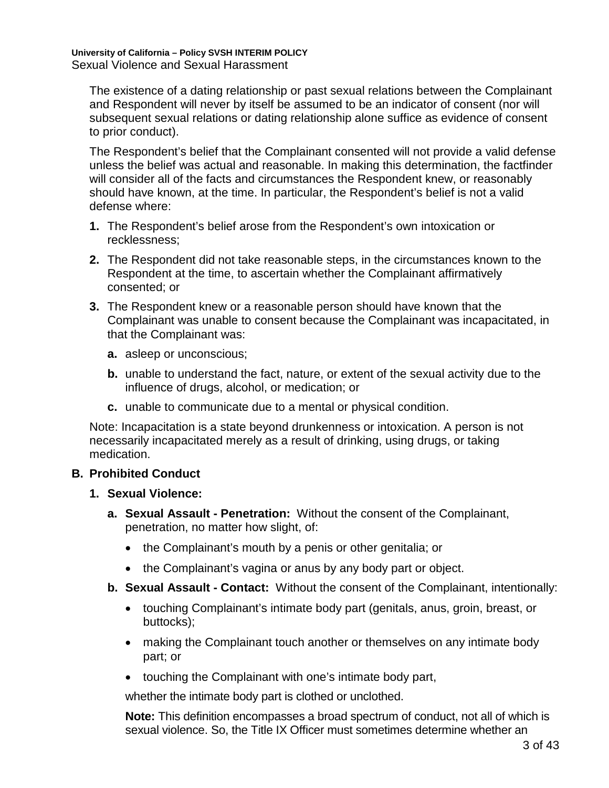The existence of a dating relationship or past sexual relations between the Complainant and Respondent will never by itself be assumed to be an indicator of consent (nor will subsequent sexual relations or dating relationship alone suffice as evidence of consent to prior conduct).

The Respondent's belief that the Complainant consented will not provide a valid defense unless the belief was actual and reasonable. In making this determination, the factfinder will consider all of the facts and circumstances the Respondent knew, or reasonably should have known, at the time. In particular, the Respondent's belief is not a valid defense where:

- **1.** The Respondent's belief arose from the Respondent's own intoxication or recklessness;
- **2.** The Respondent did not take reasonable steps, in the circumstances known to the Respondent at the time, to ascertain whether the Complainant affirmatively consented; or
- **3.** The Respondent knew or a reasonable person should have known that the Complainant was unable to consent because the Complainant was incapacitated, in that the Complainant was:
	- **a.** asleep or unconscious;
	- **b.** unable to understand the fact, nature, or extent of the sexual activity due to the influence of drugs, alcohol, or medication; or
	- **c.** unable to communicate due to a mental or physical condition.

Note: Incapacitation is a state beyond drunkenness or intoxication. A person is not necessarily incapacitated merely as a result of drinking, using drugs, or taking medication.

#### **B. Prohibited Conduct**

#### **1. Sexual Violence:**

- **a. Sexual Assault Penetration:** Without the consent of the Complainant, penetration, no matter how slight, of:
	- the Complainant's mouth by a penis or other genitalia; or
	- the Complainant's vagina or anus by any body part or object.
- **b. Sexual Assault Contact:** Without the consent of the Complainant, intentionally:
	- touching Complainant's intimate body part (genitals, anus, groin, breast, or buttocks);
	- making the Complainant touch another or themselves on any intimate body part; or
	- touching the Complainant with one's intimate body part,

whether the intimate body part is clothed or unclothed.

**Note:** This definition encompasses a broad spectrum of conduct, not all of which is sexual violence. So, the Title IX Officer must sometimes determine whether an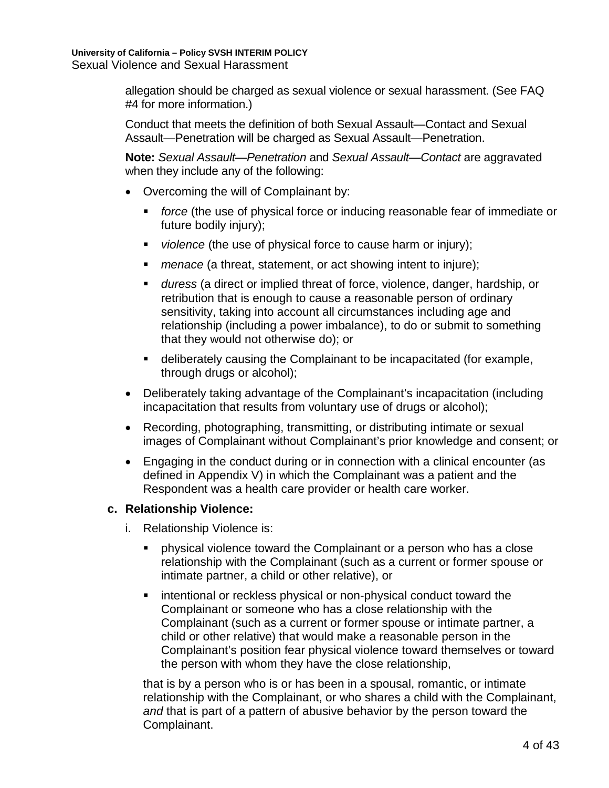allegation should be charged as sexual violence or sexual harassment. (See FAQ #4 for more information.)

Conduct that meets the definition of both Sexual Assault—Contact and Sexual Assault—Penetration will be charged as Sexual Assault—Penetration.

**Note:** *Sexual Assault—Penetration* and *Sexual Assault—Contact* are aggravated when they include any of the following:

- Overcoming the will of Complainant by:
	- *force* (the use of physical force or inducing reasonable fear of immediate or future bodily injury);
	- *violence* (the use of physical force to cause harm or injury);
	- *menace* (a threat, statement, or act showing intent to injure);
	- *duress* (a direct or implied threat of force, violence, danger, hardship, or retribution that is enough to cause a reasonable person of ordinary sensitivity, taking into account all circumstances including age and relationship (including a power imbalance), to do or submit to something that they would not otherwise do); or
	- deliberately causing the Complainant to be incapacitated (for example, through drugs or alcohol);
- Deliberately taking advantage of the Complainant's incapacitation (including incapacitation that results from voluntary use of drugs or alcohol);
- Recording, photographing, transmitting, or distributing intimate or sexual images of Complainant without Complainant's prior knowledge and consent; or
- Engaging in the conduct during or in connection with a clinical encounter (as defined in Appendix V) in which the Complainant was a patient and the Respondent was a health care provider or health care worker.

## **c. Relationship Violence:**

- i. Relationship Violence is:
	- physical violence toward the Complainant or a person who has a close relationship with the Complainant (such as a current or former spouse or intimate partner, a child or other relative), or
	- **EXECT** intentional or reckless physical or non-physical conduct toward the Complainant or someone who has a close relationship with the Complainant (such as a current or former spouse or intimate partner, a child or other relative) that would make a reasonable person in the Complainant's position fear physical violence toward themselves or toward the person with whom they have the close relationship,

that is by a person who is or has been in a spousal, romantic, or intimate relationship with the Complainant, or who shares a child with the Complainant, *and* that is part of a pattern of abusive behavior by the person toward the Complainant.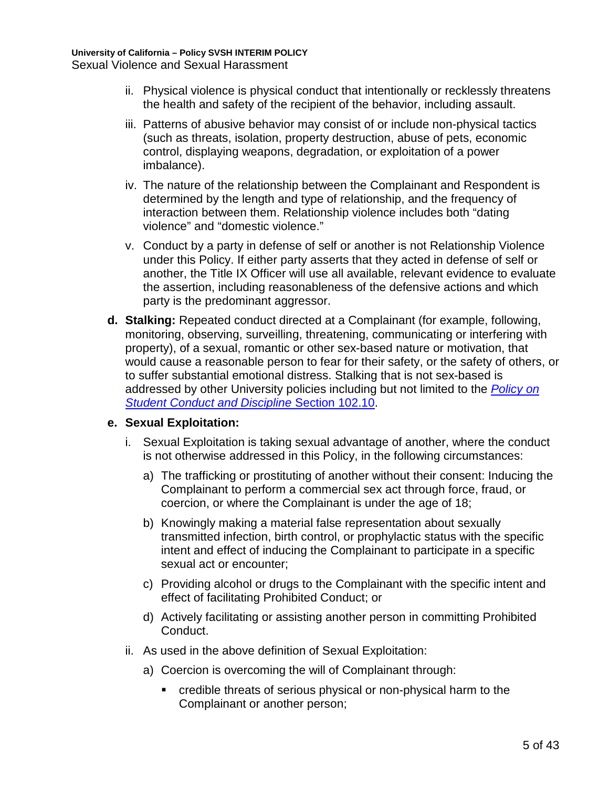- ii. Physical violence is physical conduct that intentionally or recklessly threatens the health and safety of the recipient of the behavior, including assault.
- iii. Patterns of abusive behavior may consist of or include non-physical tactics (such as threats, isolation, property destruction, abuse of pets, economic control, displaying weapons, degradation, or exploitation of a power imbalance).
- iv. The nature of the relationship between the Complainant and Respondent is determined by the length and type of relationship, and the frequency of interaction between them. Relationship violence includes both "dating violence" and "domestic violence."
- v. Conduct by a party in defense of self or another is not Relationship Violence under this Policy. If either party asserts that they acted in defense of self or another, the Title IX Officer will use all available, relevant evidence to evaluate the assertion, including reasonableness of the defensive actions and which party is the predominant aggressor.
- **d. Stalking:** Repeated conduct directed at a Complainant (for example, following, monitoring, observing, surveilling, threatening, communicating or interfering with property), of a sexual, romantic or other sex-based nature or motivation, that would cause a reasonable person to fear for their safety, or the safety of others, or to suffer substantial emotional distress. Stalking that is not sex-based is addressed by other University policies including but not limited to the *[Policy on](http://policy.ucop.edu/doc/2710530/PACAOS-100)  [Student Conduct and Discipline](http://policy.ucop.edu/doc/2710530/PACAOS-100)* Section 102.10.

#### **e. Sexual Exploitation:**

- i. Sexual Exploitation is taking sexual advantage of another, where the conduct is not otherwise addressed in this Policy, in the following circumstances:
	- a) The trafficking or prostituting of another without their consent: Inducing the Complainant to perform a commercial sex act through force, fraud, or coercion, or where the Complainant is under the age of 18;
	- b) Knowingly making a material false representation about sexually transmitted infection, birth control, or prophylactic status with the specific intent and effect of inducing the Complainant to participate in a specific sexual act or encounter;
	- c) Providing alcohol or drugs to the Complainant with the specific intent and effect of facilitating Prohibited Conduct; or
	- d) Actively facilitating or assisting another person in committing Prohibited Conduct.
- ii. As used in the above definition of Sexual Exploitation:
	- a) Coercion is overcoming the will of Complainant through:
		- credible threats of serious physical or non-physical harm to the Complainant or another person;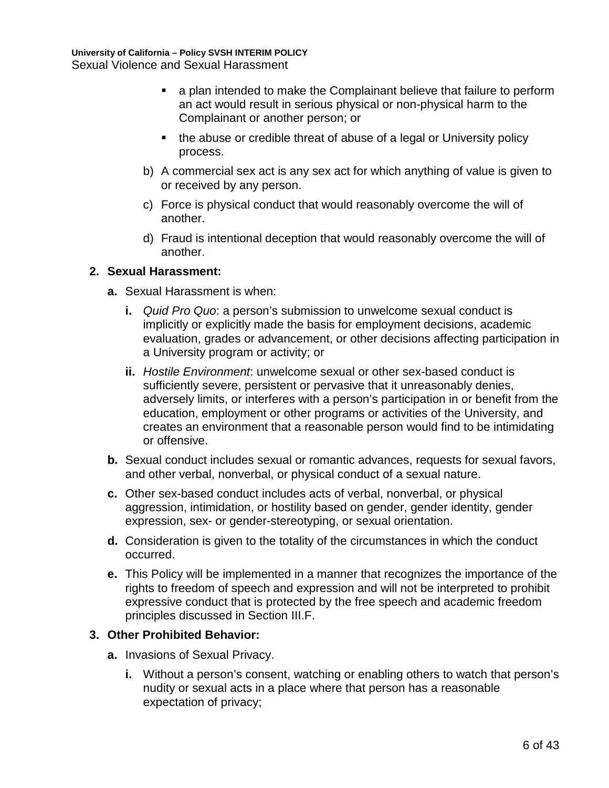- a plan intended to make the Complainant believe that failure to perform an act would result in serious physical or non-physical harm to the Complainant or another person; or
- the abuse or credible threat of abuse of a legal or University policy process.
- b) A commercial sex act is any sex act for which anything of value is given to or received by any person.
- c) Force is physical conduct that would reasonably overcome the will of another.
- d) Fraud is intentional deception that would reasonably overcome the will of another.

#### **2. Sexual Harassment:**

- **a.** Sexual Harassment is when:
	- **i.** *Quid Pro Quo*: a person's submission to unwelcome sexual conduct is implicitly or explicitly made the basis for employment decisions, academic evaluation, grades or advancement, or other decisions affecting participation in a University program or activity; or
	- **ii.** *Hostile Environment*: unwelcome sexual or other sex-based conduct is sufficiently severe, persistent or pervasive that it unreasonably denies, adversely limits, or interferes with a person's participation in or benefit from the education, employment or other programs or activities of the University, and creates an environment that a reasonable person would find to be intimidating or offensive.
- **b.** Sexual conduct includes sexual or romantic advances, requests for sexual favors, and other verbal, nonverbal, or physical conduct of a sexual nature.
- **c.** Other sex-based conduct includes acts of verbal, nonverbal, or physical aggression, intimidation, or hostility based on gender, gender identity, gender expression, sex- or gender-stereotyping, or sexual orientation.
- **d.** Consideration is given to the totality of the circumstances in which the conduct occurred.
- **e.** This Policy will be implemented in a manner that recognizes the importance of the rights to freedom of speech and expression and will not be interpreted to prohibit expressive conduct that is protected by the free speech and academic freedom principles discussed in Section III.F.

#### **3. Other Prohibited Behavior:**

- **a.** Invasions of Sexual Privacy.
	- **i.** Without a person's consent, watching or enabling others to watch that person's nudity or sexual acts in a place where that person has a reasonable expectation of privacy;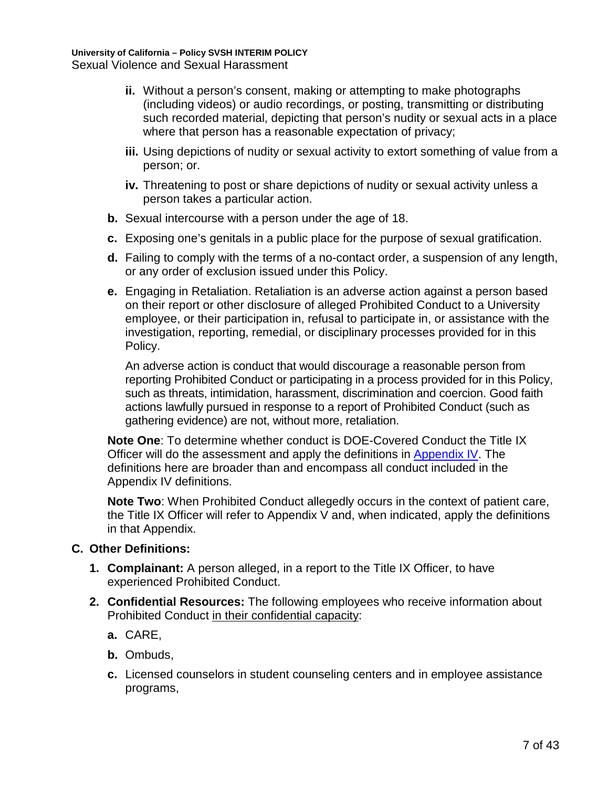- **ii.** Without a person's consent, making or attempting to make photographs (including videos) or audio recordings, or posting, transmitting or distributing such recorded material, depicting that person's nudity or sexual acts in a place where that person has a reasonable expectation of privacy;
- **iii.** Using depictions of nudity or sexual activity to extort something of value from a person; or.
- **iv.** Threatening to post or share depictions of nudity or sexual activity unless a person takes a particular action.
- **b.** Sexual intercourse with a person under the age of 18.
- **c.** Exposing one's genitals in a public place for the purpose of sexual gratification.
- **d.** Failing to comply with the terms of a no-contact order, a suspension of any length, or any order of exclusion issued under this Policy.
- **e.** Engaging in Retaliation. Retaliation is an adverse action against a person based on their report or other disclosure of alleged Prohibited Conduct to a University employee, or their participation in, refusal to participate in, or assistance with the investigation, reporting, remedial, or disciplinary processes provided for in this Policy.

An adverse action is conduct that would discourage a reasonable person from reporting Prohibited Conduct or participating in a process provided for in this Policy, such as threats, intimidation, harassment, discrimination and coercion. Good faith actions lawfully pursued in response to a report of Prohibited Conduct (such as gathering evidence) are not, without more, retaliation.

**Note One**: To determine whether conduct is DOE-Covered Conduct the Title IX Officer will do the assessment and apply the definitions in [Appendix IV.](#page-34-0) The definitions here are broader than and encompass all conduct included in the Appendix IV definitions.

**Note Two**: When Prohibited Conduct allegedly occurs in the context of patient care, the Title IX Officer will refer to Appendix V and, when indicated, apply the definitions in that Appendix.

#### **C. Other Definitions:**

- **1. Complainant:** A person alleged, in a report to the Title IX Officer, to have experienced Prohibited Conduct.
- **2. Confidential Resources:** The following employees who receive information about Prohibited Conduct in their confidential capacity:
	- **a.** CARE,
	- **b.** Ombuds,
	- **c.** Licensed counselors in student counseling centers and in employee assistance programs,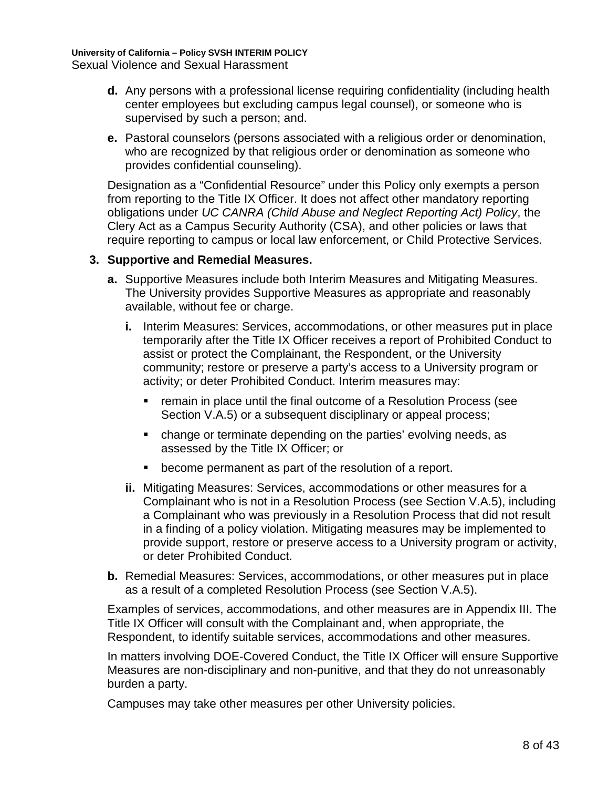- **d.** Any persons with a professional license requiring confidentiality (including health center employees but excluding campus legal counsel), or someone who is supervised by such a person; and.
- **e.** Pastoral counselors (persons associated with a religious order or denomination, who are recognized by that religious order or denomination as someone who provides confidential counseling).

Designation as a "Confidential Resource" under this Policy only exempts a person from reporting to the Title IX Officer. It does not affect other mandatory reporting obligations under *UC CANRA (Child Abuse and Neglect Reporting Act) Policy*, the Clery Act as a Campus Security Authority (CSA), and other policies or laws that require reporting to campus or local law enforcement, or Child Protective Services.

#### <span id="page-7-0"></span>**3. Supportive and Remedial Measures.**

- **a.** Supportive Measures include both Interim Measures and Mitigating Measures. The University provides Supportive Measures as appropriate and reasonably available, without fee or charge.
	- **i.** Interim Measures: Services, accommodations, or other measures put in place temporarily after the Title IX Officer receives a report of Prohibited Conduct to assist or protect the Complainant, the Respondent, or the University community; restore or preserve a party's access to a University program or activity; or deter Prohibited Conduct. Interim measures may:
		- **F** remain in place until the final outcome of a Resolution Process (see Section V.A.5) or a subsequent disciplinary or appeal process;
		- change or terminate depending on the parties' evolving needs, as assessed by the Title IX Officer; or
		- **•** become permanent as part of the resolution of a report.
	- **ii.** Mitigating Measures: Services, accommodations or other measures for a Complainant who is not in a Resolution Process (see Section V.A.5), including a Complainant who was previously in a Resolution Process that did not result in a finding of a policy violation. Mitigating measures may be implemented to provide support, restore or preserve access to a University program or activity, or deter Prohibited Conduct.
- **b.** Remedial Measures: Services, accommodations, or other measures put in place as a result of a completed Resolution Process (see Section V.A.5).

Examples of services, accommodations, and other measures are in Appendix III. The Title IX Officer will consult with the Complainant and, when appropriate, the Respondent, to identify suitable services, accommodations and other measures.

In matters involving DOE-Covered Conduct, the Title IX Officer will ensure Supportive Measures are non-disciplinary and non-punitive, and that they do not unreasonably burden a party.

Campuses may take other measures per other University policies.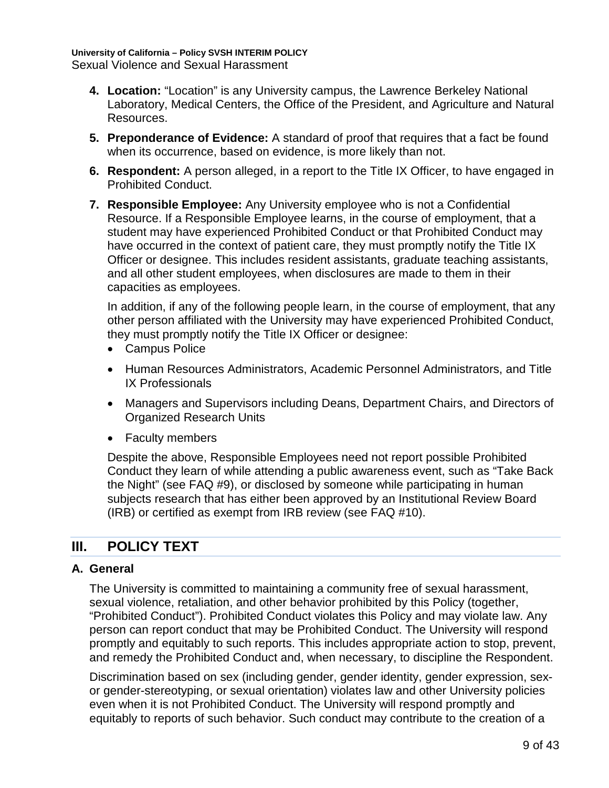- **4. Location:** "Location" is any University campus, the Lawrence Berkeley National Laboratory, Medical Centers, the Office of the President, and Agriculture and Natural Resources.
- **5. Preponderance of Evidence:** A standard of proof that requires that a fact be found when its occurrence, based on evidence, is more likely than not.
- **6. Respondent:** A person alleged, in a report to the Title IX Officer, to have engaged in Prohibited Conduct.
- **7. Responsible Employee:** Any University employee who is not a Confidential Resource. If a Responsible Employee learns, in the course of employment, that a student may have experienced Prohibited Conduct or that Prohibited Conduct may have occurred in the context of patient care, they must promptly notify the Title IX Officer or designee. This includes resident assistants, graduate teaching assistants, and all other student employees, when disclosures are made to them in their capacities as employees.

In addition, if any of the following people learn, in the course of employment, that any other person affiliated with the University may have experienced Prohibited Conduct, they must promptly notify the Title IX Officer or designee:

- Campus Police
- Human Resources Administrators, Academic Personnel Administrators, and Title IX Professionals
- Managers and Supervisors including Deans, Department Chairs, and Directors of Organized Research Units
- Faculty members

Despite the above, Responsible Employees need not report possible Prohibited Conduct they learn of while attending a public awareness event, such as "Take Back the Night" (see FAQ #9), or disclosed by someone while participating in human subjects research that has either been approved by an Institutional Review Board (IRB) or certified as exempt from IRB review (see FAQ #10).

# <span id="page-8-0"></span>**III. POLICY TEXT**

#### **A. General**

The University is committed to maintaining a community free of sexual harassment, sexual violence, retaliation, and other behavior prohibited by this Policy (together, "Prohibited Conduct"). Prohibited Conduct violates this Policy and may violate law. Any person can report conduct that may be Prohibited Conduct. The University will respond promptly and equitably to such reports. This includes appropriate action to stop, prevent, and remedy the Prohibited Conduct and, when necessary, to discipline the Respondent.

Discrimination based on sex (including gender, gender identity, gender expression, sexor gender-stereotyping, or sexual orientation) violates law and other University policies even when it is not Prohibited Conduct. The University will respond promptly and equitably to reports of such behavior. Such conduct may contribute to the creation of a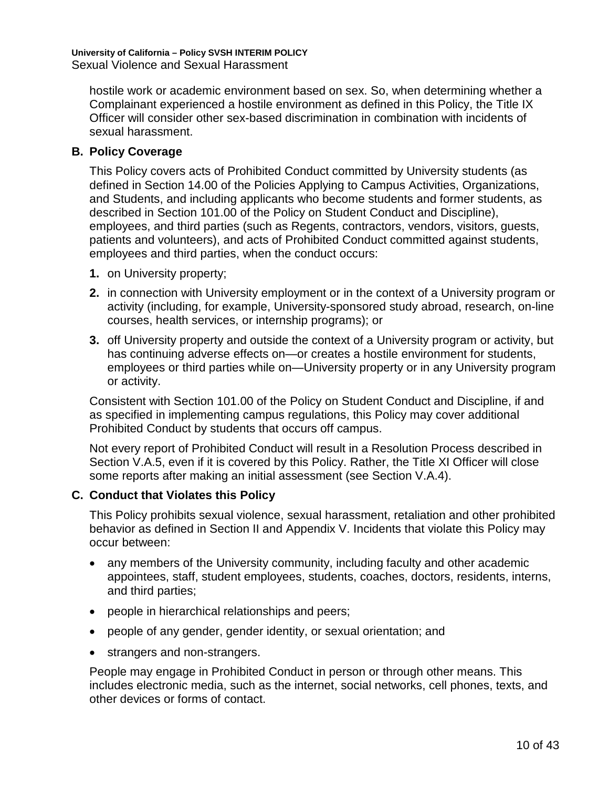hostile work or academic environment based on sex. So, when determining whether a Complainant experienced a hostile environment as defined in this Policy, the Title IX Officer will consider other sex-based discrimination in combination with incidents of sexual harassment.

#### **B. Policy Coverage**

This Policy covers acts of Prohibited Conduct committed by University students (as defined in Section 14.00 of the Policies Applying to Campus Activities, Organizations, and Students, and including applicants who become students and former students, as described in Section 101.00 of the Policy on Student Conduct and Discipline), employees, and third parties (such as Regents, contractors, vendors, visitors, guests, patients and volunteers), and acts of Prohibited Conduct committed against students, employees and third parties, when the conduct occurs:

- **1.** on University property;
- **2.** in connection with University employment or in the context of a University program or activity (including, for example, University-sponsored study abroad, research, on-line courses, health services, or internship programs); or
- **3.** off University property and outside the context of a University program or activity, but has continuing adverse effects on—or creates a hostile environment for students, employees or third parties while on—University property or in any University program or activity.

Consistent with Section 101.00 of the Policy on Student Conduct and Discipline, if and as specified in implementing campus regulations, this Policy may cover additional Prohibited Conduct by students that occurs off campus.

Not every report of Prohibited Conduct will result in a Resolution Process described in Section V.A.5, even if it is covered by this Policy. Rather, the Title XI Officer will close some reports after making an initial assessment (see Section V.A.4).

#### **C. Conduct that Violates this Policy**

This Policy prohibits sexual violence, sexual harassment, retaliation and other prohibited behavior as defined in Section II and Appendix V. Incidents that violate this Policy may occur between:

- any members of the University community, including faculty and other academic appointees, staff, student employees, students, coaches, doctors, residents, interns, and third parties;
- people in hierarchical relationships and peers;
- people of any gender, gender identity, or sexual orientation; and
- strangers and non-strangers.

People may engage in Prohibited Conduct in person or through other means. This includes electronic media, such as the internet, social networks, cell phones, texts, and other devices or forms of contact.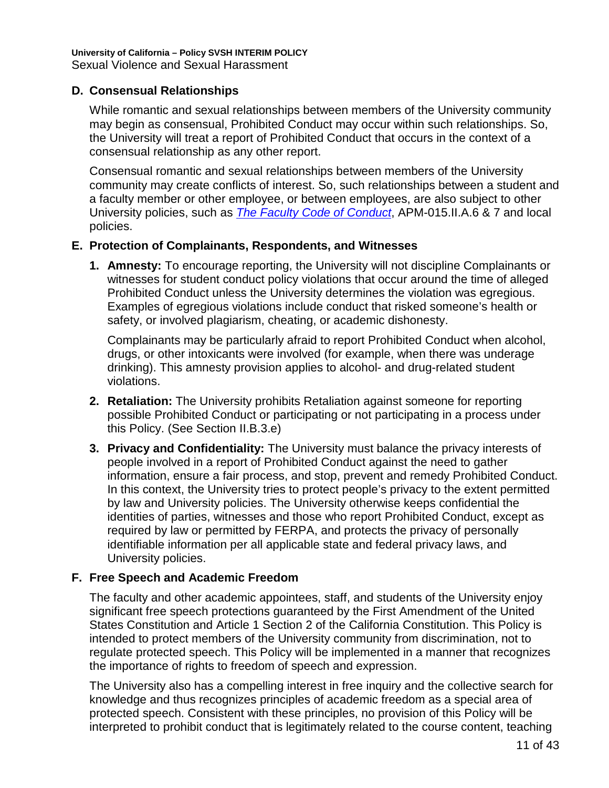#### **D. Consensual Relationships**

While romantic and sexual relationships between members of the University community may begin as consensual, Prohibited Conduct may occur within such relationships. So, the University will treat a report of Prohibited Conduct that occurs in the context of a consensual relationship as any other report.

Consensual romantic and sexual relationships between members of the University community may create conflicts of interest. So, such relationships between a student and a faculty member or other employee, or between employees, are also subject to other University policies, such as *[The Faculty Code of Conduct](http://www.ucop.edu/academic-personnel-programs/_files/apm/apm-015.pdf)*, APM-015.II.A.6 & 7 and local policies.

#### **E. Protection of Complainants, Respondents, and Witnesses**

**1. Amnesty:** To encourage reporting, the University will not discipline Complainants or witnesses for student conduct policy violations that occur around the time of alleged Prohibited Conduct unless the University determines the violation was egregious. Examples of egregious violations include conduct that risked someone's health or safety, or involved plagiarism, cheating, or academic dishonesty.

Complainants may be particularly afraid to report Prohibited Conduct when alcohol, drugs, or other intoxicants were involved (for example, when there was underage drinking). This amnesty provision applies to alcohol- and drug-related student violations.

- **2. Retaliation:** The University prohibits Retaliation against someone for reporting possible Prohibited Conduct or participating or not participating in a process under this Policy. (See Section II.B.3.e)
- **3. Privacy and Confidentiality:** The University must balance the privacy interests of people involved in a report of Prohibited Conduct against the need to gather information, ensure a fair process, and stop, prevent and remedy Prohibited Conduct. In this context, the University tries to protect people's privacy to the extent permitted by law and University policies. The University otherwise keeps confidential the identities of parties, witnesses and those who report Prohibited Conduct, except as required by law or permitted by FERPA, and protects the privacy of personally identifiable information per all applicable state and federal privacy laws, and University policies.

#### **F. Free Speech and Academic Freedom**

The faculty and other academic appointees, staff, and students of the University enjoy significant free speech protections guaranteed by the First Amendment of the United States Constitution and Article 1 Section 2 of the California Constitution. This Policy is intended to protect members of the University community from discrimination, not to regulate protected speech. This Policy will be implemented in a manner that recognizes the importance of rights to freedom of speech and expression.

The University also has a compelling interest in free inquiry and the collective search for knowledge and thus recognizes principles of academic freedom as a special area of protected speech. Consistent with these principles, no provision of this Policy will be interpreted to prohibit conduct that is legitimately related to the course content, teaching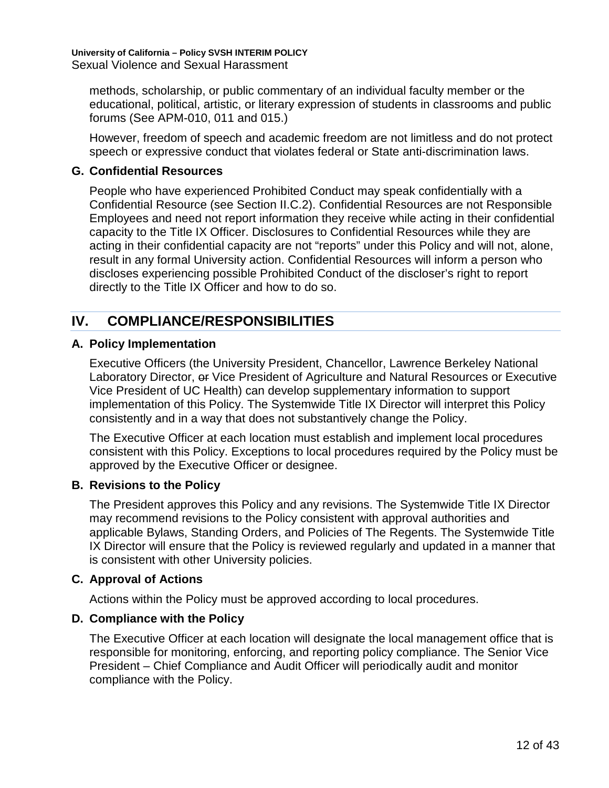methods, scholarship, or public commentary of an individual faculty member or the educational, political, artistic, or literary expression of students in classrooms and public forums (See APM-010, 011 and 015.)

However, freedom of speech and academic freedom are not limitless and do not protect speech or expressive conduct that violates federal or State anti-discrimination laws.

#### **G. Confidential Resources**

People who have experienced Prohibited Conduct may speak confidentially with a Confidential Resource (see Section II.C.2). Confidential Resources are not Responsible Employees and need not report information they receive while acting in their confidential capacity to the Title IX Officer. Disclosures to Confidential Resources while they are acting in their confidential capacity are not "reports" under this Policy and will not, alone, result in any formal University action. Confidential Resources will inform a person who discloses experiencing possible Prohibited Conduct of the discloser's right to report directly to the Title IX Officer and how to do so.

# <span id="page-11-0"></span>**IV. COMPLIANCE/RESPONSIBILITIES**

#### **A. Policy Implementation**

Executive Officers (the University President, Chancellor, Lawrence Berkeley National Laboratory Director, or Vice President of Agriculture and Natural Resources or Executive Vice President of UC Health) can develop supplementary information to support implementation of this Policy. The Systemwide Title IX Director will interpret this Policy consistently and in a way that does not substantively change the Policy.

The Executive Officer at each location must establish and implement local procedures consistent with this Policy. Exceptions to local procedures required by the Policy must be approved by the Executive Officer or designee.

#### **B. Revisions to the Policy**

The President approves this Policy and any revisions. The Systemwide Title IX Director may recommend revisions to the Policy consistent with approval authorities and applicable Bylaws, Standing Orders, and Policies of The Regents. The Systemwide Title IX Director will ensure that the Policy is reviewed regularly and updated in a manner that is consistent with other University policies.

#### **C. Approval of Actions**

Actions within the Policy must be approved according to local procedures.

#### **D. Compliance with the Policy**

The Executive Officer at each location will designate the local management office that is responsible for monitoring, enforcing, and reporting policy compliance. The Senior Vice President – Chief Compliance and Audit Officer will periodically audit and monitor compliance with the Policy.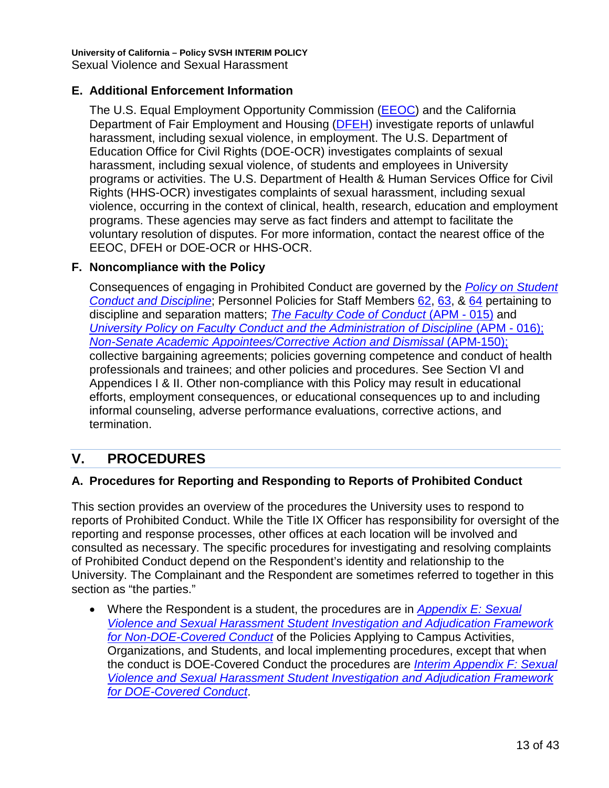## **E. Additional Enforcement Information**

The U.S. Equal Employment Opportunity Commission [\(EEOC\)](https://www.eeoc.gov/employees/howtofile.cfm) and the California Department of Fair Employment and Housing [\(DFEH\)](https://www.dfeh.ca.gov/complaint-process/) investigate reports of unlawful harassment, including sexual violence, in employment. The U.S. Department of Education Office for Civil Rights (DOE[-OCR\)](https://www2.ed.gov/about/offices/list/ocr/docs/howto.html) investigates complaints of sexual harassment, including sexual violence, of students and employees in University programs or activities. The U.S. Department of Health & Human Services Office for Civil Rights (HHS-OCR) investigates complaints of sexual harassment, including sexual violence, occurring in the context of clinical, health, research, education and employment programs. These agencies may serve as fact finders and attempt to facilitate the voluntary resolution of disputes. For more information, contact the nearest office of the EEOC, DFEH or DOE-OCR or HHS-OCR.

## **F. Noncompliance with the Policy**

Consequences of engaging in Prohibited Conduct are governed by the *[Policy on Student](http://policy.ucop.edu/doc/2710530/PACAOS-100)  [Conduct and Discipline](http://policy.ucop.edu/doc/2710530/PACAOS-100)*; Personnel Policies for Staff Members [62,](http://policy.ucop.edu/doc/4010411) [63,](http://policy.ucop.edu/doc/4010412) & [64](http://policy.ucop.edu/doc/4010413) pertaining to discipline and separation matters; *[The Faculty Code of Conduct](http://www.ucop.edu/academic-personnel/_files/apm/apm-015.pdf)* (APM - 015) and *[University Policy on Faculty Conduct and the Administration of Discipline](http://www.ucop.edu/academic-personnel/_files/apm/apm-016.pdf)* (APM - 016); *[Non-Senate Academic Appointees/Corrective Action and Dismissal](http://www.ucop.edu/academic-personnel-programs/_files/apm/apm-150.pdf)* (APM-150); collective bargaining agreements; policies governing competence and conduct of health professionals and trainees; and other policies and procedures. See Section VI and Appendices I & II. Other non-compliance with this Policy may result in educational efforts, employment consequences, or educational consequences up to and including informal counseling, adverse performance evaluations, corrective actions, and termination.

# <span id="page-12-0"></span>**V. PROCEDURES**

## **A. Procedures for Reporting and Responding to Reports of Prohibited Conduct**

This section provides an overview of the procedures the University uses to respond to reports of Prohibited Conduct. While the Title IX Officer has responsibility for oversight of the reporting and response processes, other offices at each location will be involved and consulted as necessary. The specific procedures for investigating and resolving complaints of Prohibited Conduct depend on the Respondent's identity and relationship to the University. The Complainant and the Respondent are sometimes referred to together in this section as "the parties."

• Where the Respondent is a student, the procedures are in *[Appendix E: Sexual](https://policy.ucop.edu/doc/2710641/PACAOS-Appendix-E)  [Violence and Sexual Harassment Student Investigation and Adjudication Framework](https://policy.ucop.edu/doc/2710641/PACAOS-Appendix-E)  [for Non-DOE-Covered Conduct](https://policy.ucop.edu/doc/2710641/PACAOS-Appendix-E)* of the Policies Applying to Campus Activities, Organizations, and Students, and local implementing procedures, except that when the conduct is DOE-Covered Conduct the procedures are *[Interim Appendix F: Sexual](https://policy.ucop.edu/doc/2700689/PACAOS-Appendix-F)  [Violence and Sexual Harassment Student Investigation and Adjudication Framework](https://policy.ucop.edu/doc/2700689/PACAOS-Appendix-F)  [for DOE-Covered Conduct](https://policy.ucop.edu/doc/2700689/PACAOS-Appendix-F)*.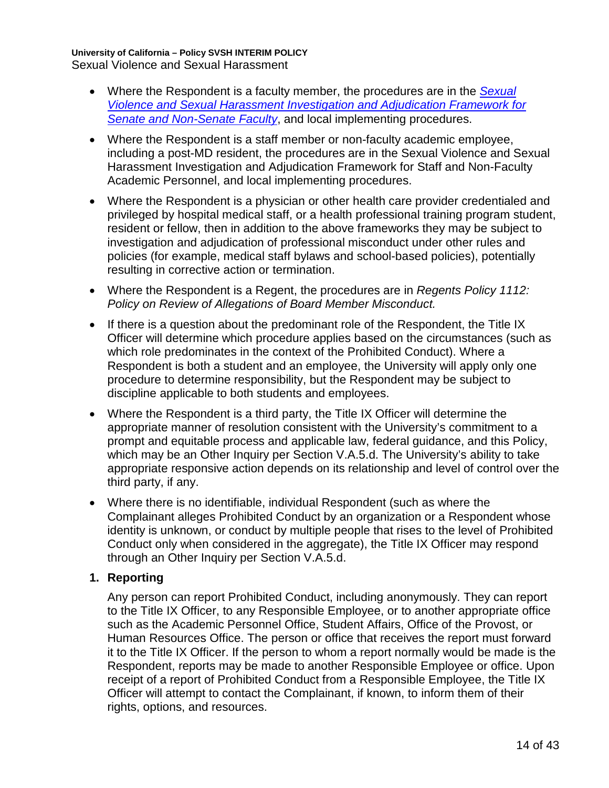- Where the Respondent is a faculty member, the procedures are in the *[Sexual](https://www.ucop.edu/title-ix/_files/investigation-and-adjudication-framework-for-senate-and-non-senate-faculty.pdf)  [Violence and Sexual Harassment Investigation and Adjudication Framework for](https://www.ucop.edu/title-ix/_files/investigation-and-adjudication-framework-for-senate-and-non-senate-faculty.pdf)*  **[Senate and Non-Senate Faculty](https://www.ucop.edu/title-ix/_files/investigation-and-adjudication-framework-for-senate-and-non-senate-faculty.pdf)**, and local implementing procedures.
- Where the Respondent is a staff member or non-faculty academic employee, including a post-MD resident, the procedures are in the [Sexual Violence and Sexual](https://ucop.edu/title-ix/_files/investigation-and-adjudication-framework-for-staff-and-non-faculty-academic-personnel.pdf)  [Harassment Investigation and Adjudication Framework for Staff and Non-Faculty](https://ucop.edu/title-ix/_files/investigation-and-adjudication-framework-for-staff-and-non-faculty-academic-personnel.pdf)  [Academic Personnel,](https://ucop.edu/title-ix/_files/investigation-and-adjudication-framework-for-staff-and-non-faculty-academic-personnel.pdf) and local implementing procedures.
- Where the Respondent is a physician or other health care provider credentialed and privileged by hospital medical staff, or a health professional training program student, resident or fellow, then in addition to the above frameworks they may be subject to investigation and adjudication of professional misconduct under other rules and policies (for example, medical staff bylaws and school-based policies), potentially resulting in corrective action or termination.
- Where the Respondent is a Regent, the procedures are in *Regents Policy 1112: Policy on Review of Allegations of Board Member Misconduct.*
- If there is a question about the predominant role of the Respondent, the Title IX Officer will determine which procedure applies based on the circumstances (such as which role predominates in the context of the Prohibited Conduct). Where a Respondent is both a student and an employee, the University will apply only one procedure to determine responsibility, but the Respondent may be subject to discipline applicable to both students and employees.
- Where the Respondent is a third party, the Title IX Officer will determine the appropriate manner of resolution consistent with the University's commitment to a prompt and equitable process and applicable law, federal guidance, and this Policy, which may be an Other Inquiry per Section V.A.5.d. The University's ability to take appropriate responsive action depends on its relationship and level of control over the third party, if any.
- Where there is no identifiable, individual Respondent (such as where the Complainant alleges Prohibited Conduct by an organization or a Respondent whose identity is unknown, or conduct by multiple people that rises to the level of Prohibited Conduct only when considered in the aggregate), the Title IX Officer may respond through an Other Inquiry per Section V.A.5.d.

#### **1. Reporting**

Any person can report Prohibited Conduct, including anonymously. They can report to the Title IX Officer, to any Responsible Employee, or to another appropriate office such as the Academic Personnel Office, Student Affairs, Office of the Provost, or Human Resources Office. The person or office that receives the report must forward it to the Title IX Officer. If the person to whom a report normally would be made is the Respondent, reports may be made to another Responsible Employee or office. Upon receipt of a report of Prohibited Conduct from a Responsible Employee, the Title IX Officer will attempt to contact the Complainant, if known, to inform them of their rights, options, and resources.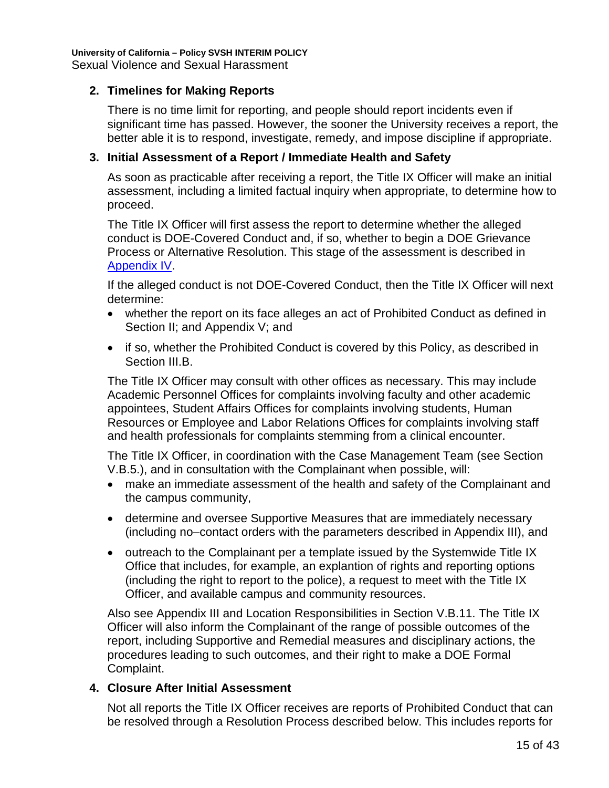#### **2. Timelines for Making Reports**

There is no time limit for reporting, and people should report incidents even if significant time has passed. However, the sooner the University receives a report, the better able it is to respond, investigate, remedy, and impose discipline if appropriate.

#### **3. Initial Assessment of a Report / Immediate Health and Safety**

As soon as practicable after receiving a report, the Title IX Officer will make an initial assessment, including a limited factual inquiry when appropriate, to determine how to proceed.

The Title IX Officer will first assess the report to determine whether the alleged conduct is DOE-Covered Conduct and, if so, whether to begin a DOE Grievance Process or Alternative Resolution. This stage of the assessment is described in [Appendix IV.](#page-34-0)

If the alleged conduct is not DOE-Covered Conduct, then the Title IX Officer will next determine:

- whether the report on its face alleges an act of Prohibited Conduct as defined in Section II; and Appendix V; and
- if so, whether the Prohibited Conduct is covered by this Policy, as described in Section III.B.

The Title IX Officer may consult with other offices as necessary. This may include Academic Personnel Offices for complaints involving faculty and other academic appointees, Student Affairs Offices for complaints involving students, Human Resources or Employee and Labor Relations Offices for complaints involving staff and health professionals for complaints stemming from a clinical encounter.

The Title IX Officer, in coordination with the Case Management Team (see Section V.B.5.), and in consultation with the Complainant when possible, will:

- make an immediate assessment of the health and safety of the Complainant and the campus community,
- determine and oversee Supportive Measures that are immediately necessary (including no–contact orders with the parameters described in Appendix III), and
- outreach to the Complainant per a template issued by the Systemwide Title IX Office that includes, for example, an explantion of rights and reporting options (including the right to report to the police), a request to meet with the Title IX Officer, and available campus and community resources.

Also see Appendix III and Location Responsibilities in Section V.B.11. The Title IX Officer will also inform the Complainant of the range of possible outcomes of the report, including Supportive and Remedial measures and disciplinary actions, the procedures leading to such outcomes, and their right to make a DOE Formal Complaint.

#### **4. Closure After Initial Assessment**

Not all reports the Title IX Officer receives are reports of Prohibited Conduct that can be resolved through a Resolution Process described below. This includes reports for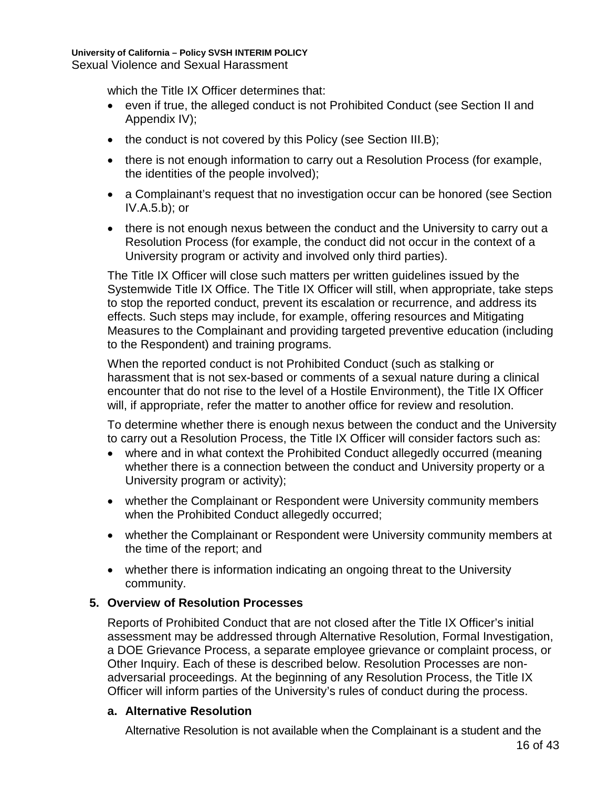which the Title IX Officer determines that:

- even if true, the alleged conduct is not Prohibited Conduct (see Section II and Appendix IV);
- the conduct is not covered by this Policy (see Section III.B);
- there is not enough information to carry out a Resolution Process (for example, the identities of the people involved);
- a Complainant's request that no investigation occur can be honored (see Section IV.A.5.b); or
- there is not enough nexus between the conduct and the University to carry out a Resolution Process (for example, the conduct did not occur in the context of a University program or activity and involved only third parties).

The Title IX Officer will close such matters per written guidelines issued by the Systemwide Title IX Office. The Title IX Officer will still, when appropriate, take steps to stop the reported conduct, prevent its escalation or recurrence, and address its effects. Such steps may include, for example, offering resources and Mitigating Measures to the Complainant and providing targeted preventive education (including to the Respondent) and training programs.

When the reported conduct is not Prohibited Conduct (such as stalking or harassment that is not sex-based or comments of a sexual nature during a clinical encounter that do not rise to the level of a Hostile Environment), the Title IX Officer will, if appropriate, refer the matter to another office for review and resolution.

To determine whether there is enough nexus between the conduct and the University to carry out a Resolution Process, the Title IX Officer will consider factors such as:

- where and in what context the Prohibited Conduct allegedly occurred (meaning whether there is a connection between the conduct and University property or a University program or activity);
- whether the Complainant or Respondent were University community members when the Prohibited Conduct allegedly occurred;
- whether the Complainant or Respondent were University community members at the time of the report; and
- whether there is information indicating an ongoing threat to the University community.

#### **5. Overview of Resolution Processes**

Reports of Prohibited Conduct that are not closed after the Title IX Officer's initial assessment may be addressed through Alternative Resolution, Formal Investigation, a DOE Grievance Process, a separate employee grievance or complaint process, or Other Inquiry. Each of these is described below. Resolution Processes are nonadversarial proceedings. At the beginning of any Resolution Process, the Title IX Officer will inform parties of the University's rules of conduct during the process.

#### **a. Alternative Resolution**

Alternative Resolution is not available when the Complainant is a student and the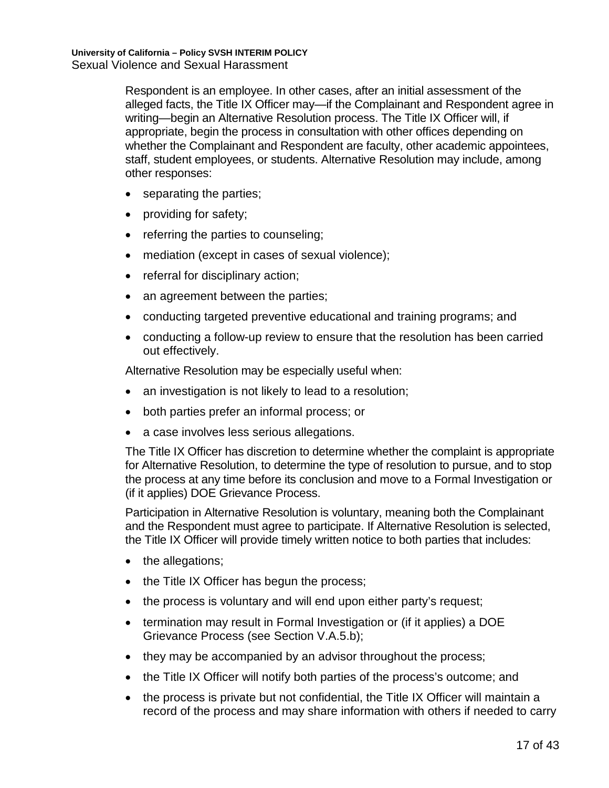Respondent is an employee. In other cases, after an initial assessment of the alleged facts, the Title IX Officer may—if the Complainant and Respondent agree in writing—begin an Alternative Resolution process. The Title IX Officer will, if appropriate, begin the process in consultation with other offices depending on whether the Complainant and Respondent are faculty, other academic appointees, staff, student employees, or students. Alternative Resolution may include, among other responses:

- separating the parties;
- providing for safety;
- referring the parties to counseling;
- mediation (except in cases of sexual violence);
- referral for disciplinary action;
- an agreement between the parties;
- conducting targeted preventive educational and training programs; and
- conducting a follow-up review to ensure that the resolution has been carried out effectively.

Alternative Resolution may be especially useful when:

- an investigation is not likely to lead to a resolution;
- both parties prefer an informal process; or
- a case involves less serious allegations.

The Title IX Officer has discretion to determine whether the complaint is appropriate for Alternative Resolution, to determine the type of resolution to pursue, and to stop the process at any time before its conclusion and move to a Formal Investigation or (if it applies) DOE Grievance Process.

Participation in Alternative Resolution is voluntary, meaning both the Complainant and the Respondent must agree to participate. If Alternative Resolution is selected, the Title IX Officer will provide timely written notice to both parties that includes:

- the allegations;
- the Title IX Officer has begun the process;
- the process is voluntary and will end upon either party's request;
- termination may result in Formal Investigation or (if it applies) a DOE Grievance Process (see Section V.A.5.b);
- they may be accompanied by an advisor throughout the process;
- the Title IX Officer will notify both parties of the process's outcome; and
- the process is private but not confidential, the Title IX Officer will maintain a record of the process and may share information with others if needed to carry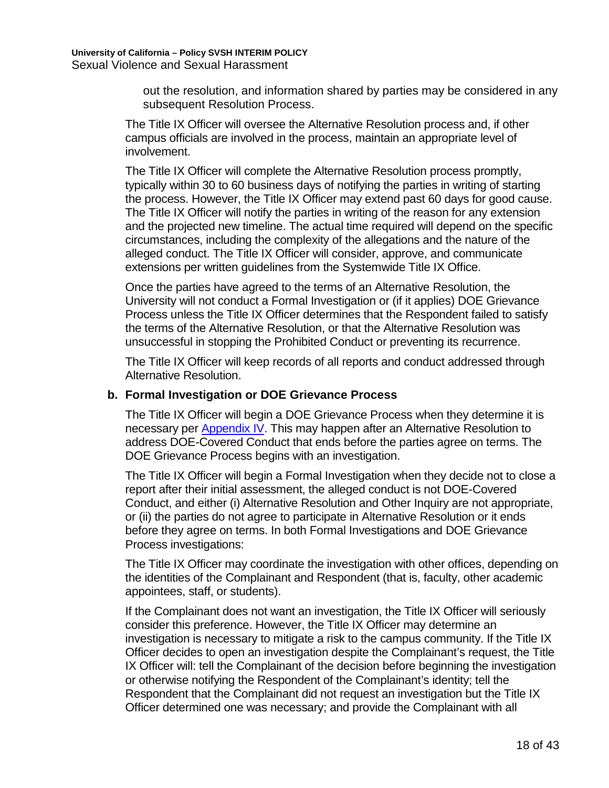out the resolution, and information shared by parties may be considered in any subsequent Resolution Process.

The Title IX Officer will oversee the Alternative Resolution process and, if other campus officials are involved in the process, maintain an appropriate level of involvement.

The Title IX Officer will complete the Alternative Resolution process promptly, typically within 30 to 60 business days of notifying the parties in writing of starting the process. However, the Title IX Officer may extend past 60 days for good cause. The Title IX Officer will notify the parties in writing of the reason for any extension and the projected new timeline. The actual time required will depend on the specific circumstances, including the complexity of the allegations and the nature of the alleged conduct. The Title IX Officer will consider, approve, and communicate extensions per written guidelines from the Systemwide Title IX Office.

Once the parties have agreed to the terms of an Alternative Resolution, the University will not conduct a Formal Investigation or (if it applies) DOE Grievance Process unless the Title IX Officer determines that the Respondent failed to satisfy the terms of the Alternative Resolution, or that the Alternative Resolution was unsuccessful in stopping the Prohibited Conduct or preventing its recurrence.

The Title IX Officer will keep records of all reports and conduct addressed through Alternative Resolution.

#### **b. Formal Investigation or DOE Grievance Process**

The Title IX Officer will begin a DOE Grievance Process when they determine it is necessary per [Appendix IV.](#page-34-0) This may happen after an Alternative Resolution to address DOE-Covered Conduct that ends before the parties agree on terms. The DOE Grievance Process begins with an investigation.

The Title IX Officer will begin a Formal Investigation when they decide not to close a report after their initial assessment, the alleged conduct is not DOE-Covered Conduct, and either (i) Alternative Resolution and Other Inquiry are not appropriate, or (ii) the parties do not agree to participate in Alternative Resolution or it ends before they agree on terms. In both Formal Investigations and DOE Grievance Process investigations:

The Title IX Officer may coordinate the investigation with other offices, depending on the identities of the Complainant and Respondent (that is, faculty, other academic appointees, staff, or students).

If the Complainant does not want an investigation, the Title IX Officer will seriously consider this preference. However, the Title IX Officer may determine an investigation is necessary to mitigate a risk to the campus community. If the Title IX Officer decides to open an investigation despite the Complainant's request, the Title IX Officer will: tell the Complainant of the decision before beginning the investigation or otherwise notifying the Respondent of the Complainant's identity; tell the Respondent that the Complainant did not request an investigation but the Title IX Officer determined one was necessary; and provide the Complainant with all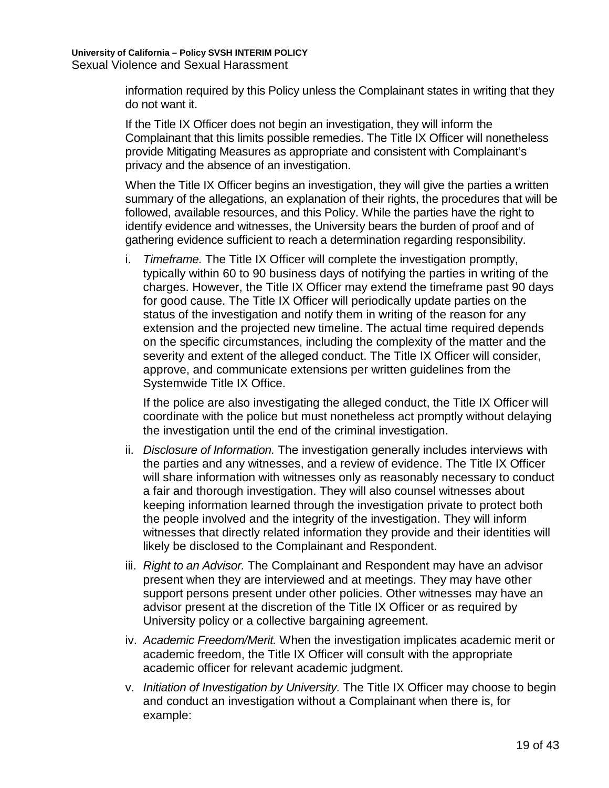information required by this Policy unless the Complainant states in writing that they do not want it.

If the Title IX Officer does not begin an investigation, they will inform the Complainant that this limits possible remedies. The Title IX Officer will nonetheless provide Mitigating Measures as appropriate and consistent with Complainant's privacy and the absence of an investigation.

When the Title IX Officer begins an investigation, they will give the parties a written summary of the allegations, an explanation of their rights, the procedures that will be followed, available resources, and this Policy. While the parties have the right to identify evidence and witnesses, the University bears the burden of proof and of gathering evidence sufficient to reach a determination regarding responsibility.

i. *Timeframe.* The Title IX Officer will complete the investigation promptly, typically within 60 to 90 business days of notifying the parties in writing of the charges. However, the Title IX Officer may extend the timeframe past 90 days for good cause. The Title IX Officer will periodically update parties on the status of the investigation and notify them in writing of the reason for any extension and the projected new timeline. The actual time required depends on the specific circumstances, including the complexity of the matter and the severity and extent of the alleged conduct. The Title IX Officer will consider, approve, and communicate extensions per written guidelines from the Systemwide Title IX Office.

If the police are also investigating the alleged conduct, the Title IX Officer will coordinate with the police but must nonetheless act promptly without delaying the investigation until the end of the criminal investigation.

- ii. *Disclosure of Information.* The investigation generally includes interviews with the parties and any witnesses, and a review of evidence. The Title IX Officer will share information with witnesses only as reasonably necessary to conduct a fair and thorough investigation. They will also counsel witnesses about keeping information learned through the investigation private to protect both the people involved and the integrity of the investigation. They will inform witnesses that directly related information they provide and their identities will likely be disclosed to the Complainant and Respondent.
- iii. *Right to an Advisor.* The Complainant and Respondent may have an advisor present when they are interviewed and at meetings. They may have other support persons present under other policies. Other witnesses may have an advisor present at the discretion of the Title IX Officer or as required by University policy or a collective bargaining agreement.
- iv. *Academic Freedom/Merit.* When the investigation implicates academic merit or academic freedom, the Title IX Officer will consult with the appropriate academic officer for relevant academic judgment.
- v. *Initiation of Investigation by University.* The Title IX Officer may choose to begin and conduct an investigation without a Complainant when there is, for example: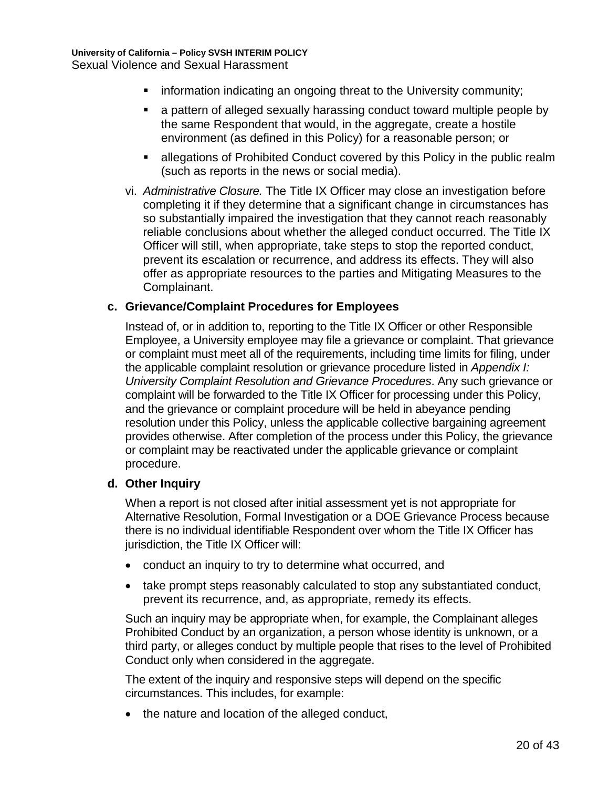- **EXEDENT** information indicating an ongoing threat to the University community;
- a pattern of alleged sexually harassing conduct toward multiple people by the same Respondent that would, in the aggregate, create a hostile environment (as defined in this Policy) for a reasonable person; or
- **EXEDEE Allegations of Prohibited Conduct covered by this Policy in the public realm** (such as reports in the news or social media).
- vi. *Administrative Closure.* The Title IX Officer may close an investigation before completing it if they determine that a significant change in circumstances has so substantially impaired the investigation that they cannot reach reasonably reliable conclusions about whether the alleged conduct occurred. The Title IX Officer will still, when appropriate, take steps to stop the reported conduct, prevent its escalation or recurrence, and address its effects. They will also offer as appropriate resources to the parties and Mitigating Measures to the Complainant.

#### **c. Grievance/Complaint Procedures for Employees**

Instead of, or in addition to, reporting to the Title IX Officer or other Responsible Employee, a University employee may file a grievance or complaint. That grievance or complaint must meet all of the requirements, including time limits for filing, under the applicable complaint resolution or grievance procedure listed in *Appendix I: University Complaint Resolution and Grievance Procedures*. Any such grievance or complaint will be forwarded to the Title IX Officer for processing under this Policy, and the grievance or complaint procedure will be held in abeyance pending resolution under this Policy, unless the applicable collective bargaining agreement provides otherwise. After completion of the process under this Policy, the grievance or complaint may be reactivated under the applicable grievance or complaint procedure.

#### **d. Other Inquiry**

When a report is not closed after initial assessment yet is not appropriate for Alternative Resolution, Formal Investigation or a DOE Grievance Process because there is no individual identifiable Respondent over whom the Title IX Officer has jurisdiction, the Title IX Officer will:

- conduct an inquiry to try to determine what occurred, and
- take prompt steps reasonably calculated to stop any substantiated conduct, prevent its recurrence, and, as appropriate, remedy its effects.

Such an inquiry may be appropriate when, for example, the Complainant alleges Prohibited Conduct by an organization, a person whose identity is unknown, or a third party, or alleges conduct by multiple people that rises to the level of Prohibited Conduct only when considered in the aggregate.

The extent of the inquiry and responsive steps will depend on the specific circumstances. This includes, for example:

• the nature and location of the alleged conduct,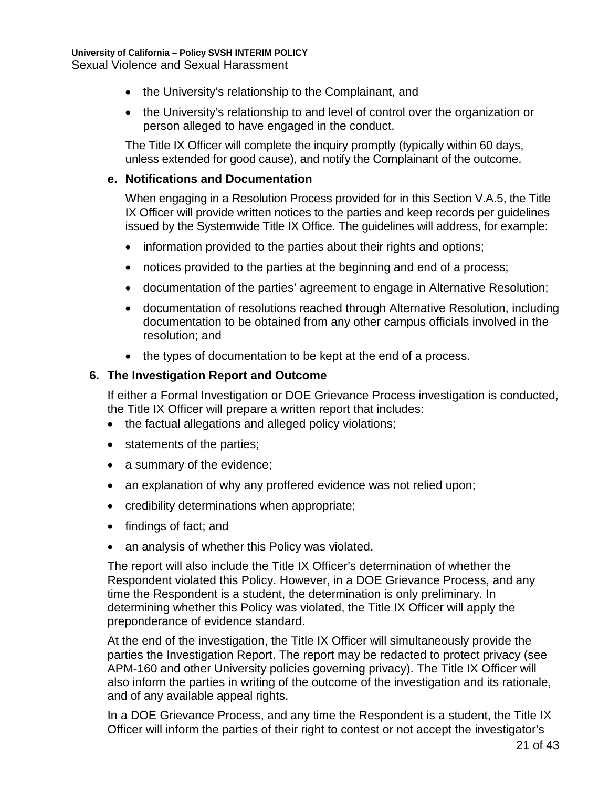- the University's relationship to the Complainant, and
- the University's relationship to and level of control over the organization or person alleged to have engaged in the conduct.

The Title IX Officer will complete the inquiry promptly (typically within 60 days, unless extended for good cause), and notify the Complainant of the outcome.

#### **e. Notifications and Documentation**

When engaging in a Resolution Process provided for in this Section V.A.5, the Title IX Officer will provide written notices to the parties and keep records per guidelines issued by the Systemwide Title IX Office. The guidelines will address, for example:

- information provided to the parties about their rights and options;
- notices provided to the parties at the beginning and end of a process;
- documentation of the parties' agreement to engage in Alternative Resolution;
- documentation of resolutions reached through Alternative Resolution, including documentation to be obtained from any other campus officials involved in the resolution; and
- the types of documentation to be kept at the end of a process.

#### **6. The Investigation Report and Outcome**

If either a Formal Investigation or DOE Grievance Process investigation is conducted, the Title IX Officer will prepare a written report that includes:

- the factual allegations and alleged policy violations;
- statements of the parties;
- a summary of the evidence;
- an explanation of why any proffered evidence was not relied upon;
- credibility determinations when appropriate;
- findings of fact; and
- an analysis of whether this Policy was violated.

The report will also include the Title IX Officer's determination of whether the Respondent violated this Policy. However, in a DOE Grievance Process, and any time the Respondent is a student, the determination is only preliminary. In determining whether this Policy was violated, the Title IX Officer will apply the preponderance of evidence standard.

At the end of the investigation, the Title IX Officer will simultaneously provide the parties the Investigation Report. The report may be redacted to protect privacy (see APM-160 and other University policies governing privacy). The Title IX Officer will also inform the parties in writing of the outcome of the investigation and its rationale, and of any available appeal rights.

In a DOE Grievance Process, and any time the Respondent is a student, the Title IX Officer will inform the parties of their right to contest or not accept the investigator's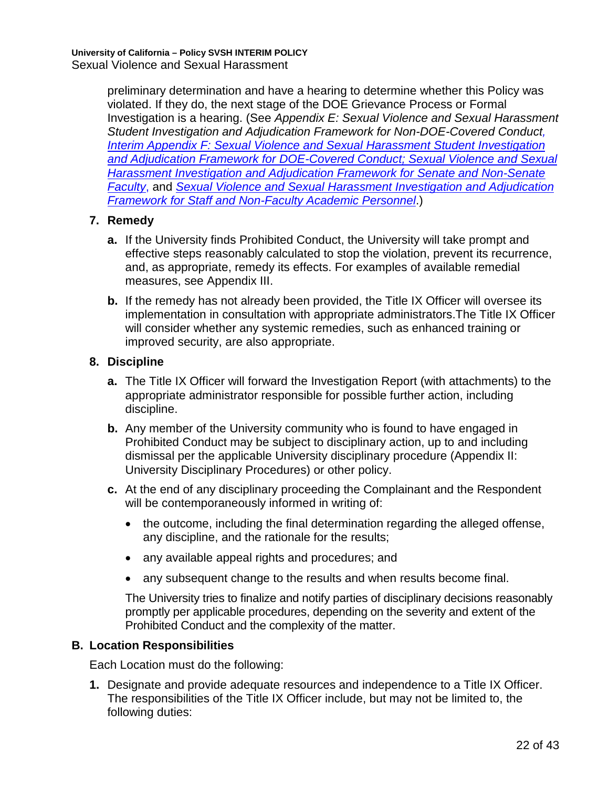preliminary determination and have a hearing to determine whether this Policy was violated. If they do, the next stage of the DOE Grievance Process or Formal Investigation is a hearing. (See *Appendix E: Sexual Violence and Sexual Harassment Student Investigation and Adjudication Framework for Non-DOE-Covered Conduct, [Interim Appendix F: Sexual Violence and Sexual Harassment Student Investigation](https://policy.ucop.edu/doc/2700689/PACAOS-Appendix-F)  [and Adjudication Framework for DOE-Covered Conduct;](https://policy.ucop.edu/doc/2700689/PACAOS-Appendix-F) [Sexual Violence and Sexual](https://www.ucop.edu/title-ix/_files/investigation-and-adjudication-framework-for-senate-and-non-senate-faculty.pdf)  [Harassment Investigation and Adjudication Framework for Senate and Non-Senate](https://www.ucop.edu/title-ix/_files/investigation-and-adjudication-framework-for-senate-and-non-senate-faculty.pdf)  [Faculty](https://www.ucop.edu/title-ix/_files/investigation-and-adjudication-framework-for-senate-and-non-senate-faculty.pdf)*, and *[Sexual Violence and Sexual Harassment Investigation and Adjudication](https://ucop.edu/title-ix/_files/investigation-and-adjudication-framework-for-staff-and-non-faculty-academic-personnel.pdf)  [Framework for Staff and Non-Faculty Academic Personnel](https://ucop.edu/title-ix/_files/investigation-and-adjudication-framework-for-staff-and-non-faculty-academic-personnel.pdf)*.)

## **7. Remedy**

- **a.** If the University finds Prohibited Conduct, the University will take prompt and effective steps reasonably calculated to stop the violation, prevent its recurrence, and, as appropriate, remedy its effects. For examples of available remedial measures, see Appendix III.
- **b.** If the remedy has not already been provided, the Title IX Officer will oversee its implementation in consultation with appropriate administrators.The Title IX Officer will consider whether any systemic remedies, such as enhanced training or improved security, are also appropriate.

#### **8. Discipline**

- **a.** The Title IX Officer will forward the Investigation Report (with attachments) to the appropriate administrator responsible for possible further action, including discipline.
- **b.** Any member of the University community who is found to have engaged in Prohibited Conduct may be subject to disciplinary action, up to and including dismissal per the applicable University disciplinary procedure (Appendix II: University Disciplinary Procedures) or other policy.
- **c.** At the end of any disciplinary proceeding the Complainant and the Respondent will be contemporaneously informed in writing of:
	- the outcome, including the final determination regarding the alleged offense, any discipline, and the rationale for the results;
	- any available appeal rights and procedures; and
	- any subsequent change to the results and when results become final.

The University tries to finalize and notify parties of disciplinary decisions reasonably promptly per applicable procedures, depending on the severity and extent of the Prohibited Conduct and the complexity of the matter.

#### **B. Location Responsibilities**

Each Location must do the following:

**1.** Designate and provide adequate resources and independence to a Title IX Officer. The responsibilities of the Title IX Officer include, but may not be limited to, the following duties: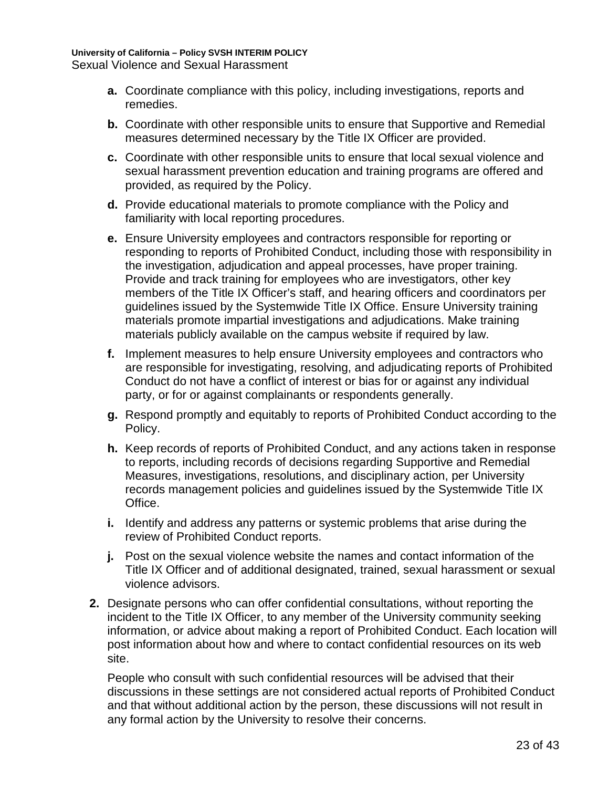- **a.** Coordinate compliance with this policy, including investigations, reports and remedies.
- **b.** Coordinate with other responsible units to ensure that Supportive and Remedial measures determined necessary by the Title IX Officer are provided.
- **c.** Coordinate with other responsible units to ensure that local sexual violence and sexual harassment prevention education and training programs are offered and provided, as required by the Policy.
- **d.** Provide educational materials to promote compliance with the Policy and familiarity with local reporting procedures.
- **e.** Ensure University employees and contractors responsible for reporting or responding to reports of Prohibited Conduct, including those with responsibility in the investigation, adjudication and appeal processes, have proper training. Provide and track training for employees who are investigators, other key members of the Title IX Officer's staff, and hearing officers and coordinators per guidelines issued by the Systemwide Title IX Office. Ensure University training materials promote impartial investigations and adjudications. Make training materials publicly available on the campus website if required by law.
- **f.** Implement measures to help ensure University employees and contractors who are responsible for investigating, resolving, and adjudicating reports of Prohibited Conduct do not have a conflict of interest or bias for or against any individual party, or for or against complainants or respondents generally.
- **g.** Respond promptly and equitably to reports of Prohibited Conduct according to the Policy.
- **h.** Keep records of reports of Prohibited Conduct, and any actions taken in response to reports, including records of decisions regarding Supportive and Remedial Measures, investigations, resolutions, and disciplinary action, per University records management policies and guidelines issued by the Systemwide Title IX Office.
- **i.** Identify and address any patterns or systemic problems that arise during the review of Prohibited Conduct reports.
- **j.** Post on the sexual violence website the names and contact information of the Title IX Officer and of additional designated, trained, sexual harassment or sexual violence advisors.
- **2.** Designate persons who can offer confidential consultations, without reporting the incident to the Title IX Officer, to any member of the University community seeking information, or advice about making a report of Prohibited Conduct. Each location will post information about how and where to contact confidential resources on its web site.

People who consult with such confidential resources will be advised that their discussions in these settings are not considered actual reports of Prohibited Conduct and that without additional action by the person, these discussions will not result in any formal action by the University to resolve their concerns.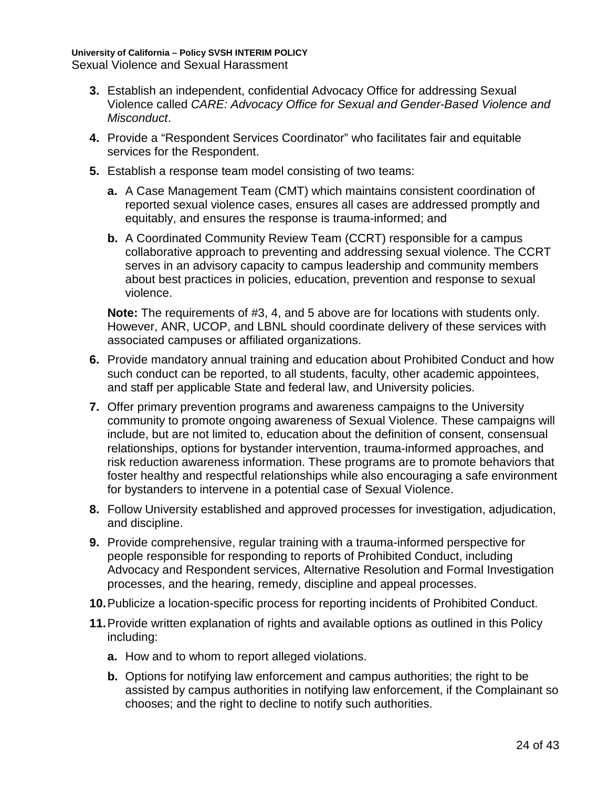- **3.** Establish an independent, confidential Advocacy Office for addressing Sexual Violence called *CARE: Advocacy Office for Sexual and Gender-Based Violence and Misconduct*.
- **4.** Provide a "Respondent Services Coordinator" who facilitates fair and equitable services for the Respondent.
- **5.** Establish a response team model consisting of two teams:
	- **a.** A Case Management Team (CMT) which maintains consistent coordination of reported sexual violence cases, ensures all cases are addressed promptly and equitably, and ensures the response is trauma-informed; and
	- **b.** A Coordinated Community Review Team (CCRT) responsible for a campus collaborative approach to preventing and addressing sexual violence. The CCRT serves in an advisory capacity to campus leadership and community members about best practices in policies, education, prevention and response to sexual violence.

**Note:** The requirements of #3, 4, and 5 above are for locations with students only. However, ANR, UCOP, and LBNL should coordinate delivery of these services with associated campuses or affiliated organizations.

- **6.** Provide mandatory annual training and education about Prohibited Conduct and how such conduct can be reported, to all students, faculty, other academic appointees, and staff per applicable State and federal law, and University policies.
- **7.** Offer primary prevention programs and awareness campaigns to the University community to promote ongoing awareness of Sexual Violence. These campaigns will include, but are not limited to, education about the definition of consent, consensual relationships, options for bystander intervention, trauma-informed approaches, and risk reduction awareness information. These programs are to promote behaviors that foster healthy and respectful relationships while also encouraging a safe environment for bystanders to intervene in a potential case of Sexual Violence.
- **8.** Follow University established and approved processes for investigation, adjudication, and discipline.
- **9.** Provide comprehensive, regular training with a trauma-informed perspective for people responsible for responding to reports of Prohibited Conduct, including Advocacy and Respondent services, Alternative Resolution and Formal Investigation processes, and the hearing, remedy, discipline and appeal processes.
- **10.**Publicize a location-specific process for reporting incidents of Prohibited Conduct.
- **11.**Provide written explanation of rights and available options as outlined in this Policy including:
	- **a.** How and to whom to report alleged violations.
	- **b.** Options for notifying law enforcement and campus authorities; the right to be assisted by campus authorities in notifying law enforcement, if the Complainant so chooses; and the right to decline to notify such authorities.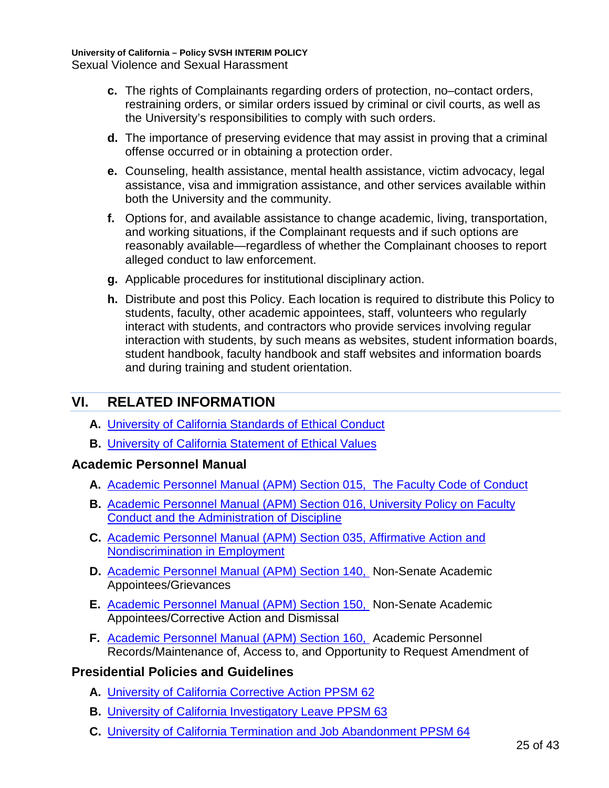- **c.** The rights of Complainants regarding orders of protection, no–contact orders, restraining orders, or similar orders issued by criminal or civil courts, as well as the University's responsibilities to comply with such orders.
- **d.** The importance of preserving evidence that may assist in proving that a criminal offense occurred or in obtaining a protection order.
- **e.** Counseling, health assistance, mental health assistance, victim advocacy, legal assistance, visa and immigration assistance, and other services available within both the University and the community.
- **f.** Options for, and available assistance to change academic, living, transportation, and working situations, if the Complainant requests and if such options are reasonably available—regardless of whether the Complainant chooses to report alleged conduct to law enforcement.
- **g.** Applicable procedures for institutional disciplinary action.
- **h.** Distribute and post this Policy. Each location is required to distribute this Policy to students, faculty, other academic appointees, staff, volunteers who regularly interact with students, and contractors who provide services involving regular interaction with students, by such means as websites, student information boards, student handbook, faculty handbook and staff websites and information boards and during training and student orientation.

# <span id="page-24-0"></span>**VI. RELATED INFORMATION**

- **A.** [University of California Standards](http://www.ucop.edu/ethics-compliance-audit-services/compliance/standards-of-ethical-conduct.html) of Ethical Conduct
- **B.** [University of California Statement of Ethical Values](https://www.ucop.edu/ethics-compliance-audit-services/_files/stmt-stds-ethics.pdf)

## **Academic Personnel Manual**

- **A.** [Academic Personnel Manual \(APM\) Section 015,](http://www.ucop.edu/academic-personnel/_files/apm/apm-015.pdf) The Faculty Code of Conduct
- **B.** [Academic Personnel Manual \(APM\) Section 016, University Policy on Faculty](https://www.ucop.edu/academic-personnel-programs/_files/apm/apm-016.pdf)  [Conduct and the Administration of Discipline](https://www.ucop.edu/academic-personnel-programs/_files/apm/apm-016.pdf)
- **C.** [Academic Personnel Manual \(APM\) Section 035, Affirmative Action and](http://www.ucop.edu/academic-personnel/_files/apm/apm-035.pdf)  [Nondiscrimination in Employment](http://www.ucop.edu/academic-personnel/_files/apm/apm-035.pdf)
- **D.** [Academic Personnel Manual \(APM\) Section 140,](http://www.ucop.edu/academic-personnel-programs/_files/apm/apm-140.pdf) Non-Senate Academic Appointees/Grievances
- **E.** [Academic Personnel Manual \(APM\) Section 150, N](http://ucop.edu/academic-personnel-programs/_files/apm/apm-150.pdf)on-Senate Academic Appointees/Corrective Action and Dismissal
- **F.** [Academic Personnel Manual \(APM\) Section 160, A](http://www.ucop.edu/academic-personnel-programs/_files/apm/apm-160.pdf)cademic Personnel Records/Maintenance of, Access to, and Opportunity to Request Amendment of

# **Presidential Policies and Guidelines**

- **A.** [University of California Corrective Action PPSM 62](https://policy.ucop.edu/doc/4010411/PPSM-62)
- **B.** [University of California Investigatory Leave PPSM 63](https://policy.ucop.edu/doc/4010412/PPSM-63)
- **C.** [University of California Termination and Job Abandonment PPSM 64](https://policy.ucop.edu/doc/4010413/PPSM-64)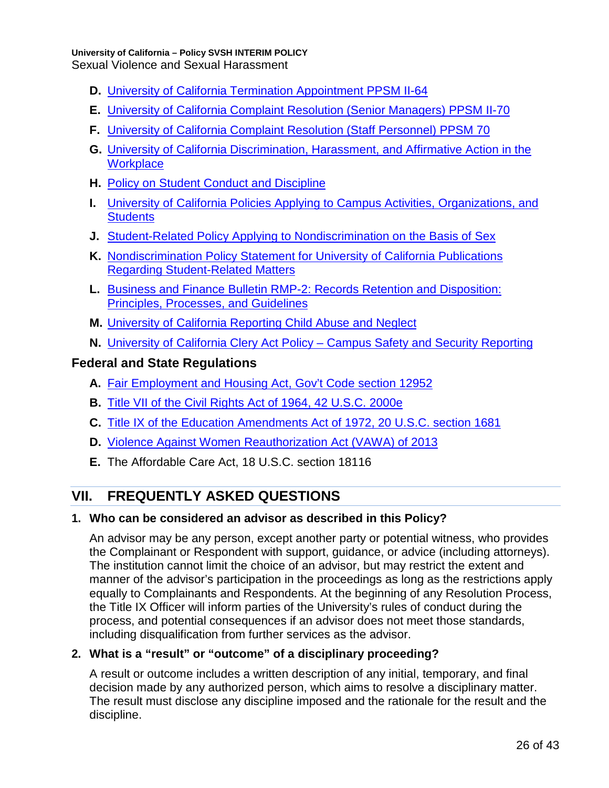- **D.** [University of California Termination Appointment PPSM II-64](https://policy.ucop.edu/doc/4010578/PPSM-II-64)
- **E.** [University of California Complaint Resolution \(Senior Managers\) PPSM II-70](https://policy.ucop.edu/doc/4010580/PPSM-II-70)
- **F.** [University of California Complaint Resolution \(Staff Personnel\) PPSM 70](https://policy.ucop.edu/doc/4010417/PPSM-70)
- **G.** [University of California Discrimination, Harassment, and Affirmative Action in the](https://policy.ucop.edu/doc/4000376/DiscHarassAffirmAction)  **[Workplace](https://policy.ucop.edu/doc/4000376/DiscHarassAffirmAction)**
- **H.** [Policy on Student Conduct and Discipline](https://policy.ucop.edu/doc/2710530/PACAOS-100)
- **I.** [University of California Policies Applying to Campus Activities, Organizations, and](http://ucop.edu/student-affairs/policies/student-life-policies/pacaos.html)  **[Students](http://ucop.edu/student-affairs/policies/student-life-policies/pacaos.html)**
- **J.** [Student-Related Policy Applying to Nondiscrimination on the Basis of Sex](https://policy.ucop.edu/doc/2710535/PACAOS-150)
- **K.** [Nondiscrimination Policy Statement for University of California Publications](https://policy.ucop.edu/doc/2710540/PACAOS-Appendix-C)  [Regarding Student-Related Matters](https://policy.ucop.edu/doc/2710540/PACAOS-Appendix-C)
- **L.** [Business and Finance Bulletin RMP-2: Records Retention and Disposition:](https://policy.ucop.edu/doc/7020454/BFB-RMP-2)  [Principles, Processes, and Guidelines](https://policy.ucop.edu/doc/7020454/BFB-RMP-2)
- **M.** [University of California Reporting Child Abuse and Neglect](https://policy.ucop.edu/doc/4000603/CANRA)
- **N.** University of California Clery [Act Policy Campus Safety and Security Reporting](https://policy.ucop.edu/doc/1100669/Clery)

## **Federal and State Regulations**

- **A.** [Fair Employment and Housing Act, Gov't Code section 12952](http://leginfo.legislature.ca.gov/faces/codes_displaySection.xhtml?sectionNum=12952&lawCode=GOV)
- **B.** [Title VII of the Civil Rights Act of 1964, 42 U.S.C. 2000e](https://www.gpo.gov/fdsys/pkg/USCODE-2010-title42/pdf/USCODE-2010-title42-chap21-subchapVI-sec2000e.pdf)
- **C.** Title IX [of the Education Amendments Act of 1972, 20 U.S.C. section 1681](https://www.gpo.gov/fdsys/pkg/USCODE-2010-title20/pdf/USCODE-2010-title20-chap38.pdf)
- **D.** [Violence Against Women Reauthorization Act \(VAWA\) of 2013](https://www.govtrack.us/congress/bills/113/s47/text)
- **E.** The Affordable Care Act, 18 U.S.C. section 18116

# <span id="page-25-0"></span>**VII. FREQUENTLY ASKED QUESTIONS**

## **1. Who can be considered an advisor as described in this Policy?**

An advisor may be any person, except another party or potential witness, who provides the Complainant or Respondent with support, guidance, or advice (including attorneys). The institution cannot limit the choice of an advisor, but may restrict the extent and manner of the advisor's participation in the proceedings as long as the restrictions apply equally to Complainants and Respondents. At the beginning of any Resolution Process, the Title IX Officer will inform parties of the University's rules of conduct during the process, and potential consequences if an advisor does not meet those standards, including disqualification from further services as the advisor.

## **2. What is a "result" or "outcome" of a disciplinary proceeding?**

A result or outcome includes a written description of any initial, temporary, and final decision made by any authorized person, which aims to resolve a disciplinary matter. The result must disclose any discipline imposed and the rationale for the result and the discipline.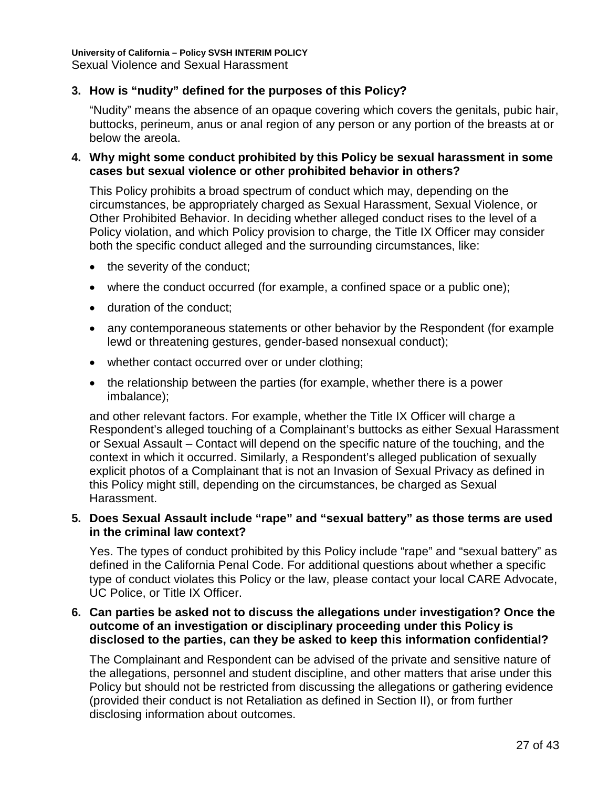#### **3. How is "nudity" defined for the purposes of this Policy?**

"Nudity" means the absence of an opaque covering which covers the genitals, pubic hair, buttocks, perineum, anus or anal region of any person or any portion of the breasts at or below the areola.

#### **4. Why might some conduct prohibited by this Policy be sexual harassment in some cases but sexual violence or other prohibited behavior in others?**

This Policy prohibits a broad spectrum of conduct which may, depending on the circumstances, be appropriately charged as Sexual Harassment, Sexual Violence, or Other Prohibited Behavior. In deciding whether alleged conduct rises to the level of a Policy violation, and which Policy provision to charge, the Title IX Officer may consider both the specific conduct alleged and the surrounding circumstances, like:

- the severity of the conduct;
- where the conduct occurred (for example, a confined space or a public one);
- duration of the conduct:
- any contemporaneous statements or other behavior by the Respondent (for example lewd or threatening gestures, gender-based nonsexual conduct);
- whether contact occurred over or under clothing;
- the relationship between the parties (for example, whether there is a power imbalance);

and other relevant factors. For example, whether the Title IX Officer will charge a Respondent's alleged touching of a Complainant's buttocks as either Sexual Harassment or Sexual Assault – Contact will depend on the specific nature of the touching, and the context in which it occurred. Similarly, a Respondent's alleged publication of sexually explicit photos of a Complainant that is not an Invasion of Sexual Privacy as defined in this Policy might still, depending on the circumstances, be charged as Sexual Harassment.

#### **5. Does Sexual Assault include "rape" and "sexual battery" as those terms are used in the criminal law context?**

Yes. The types of conduct prohibited by this Policy include "rape" and "sexual battery" as defined in the California Penal Code. For additional questions about whether a specific type of conduct violates this Policy or the law, please contact your local CARE Advocate, UC Police, or Title IX Officer.

#### **6. Can parties be asked not to discuss the allegations under investigation? Once the outcome of an investigation or disciplinary proceeding under this Policy is disclosed to the parties, can they be asked to keep this information confidential?**

The Complainant and Respondent can be advised of the private and sensitive nature of the allegations, personnel and student discipline, and other matters that arise under this Policy but should not be restricted from discussing the allegations or gathering evidence (provided their conduct is not Retaliation as defined in Section II), or from further disclosing information about outcomes.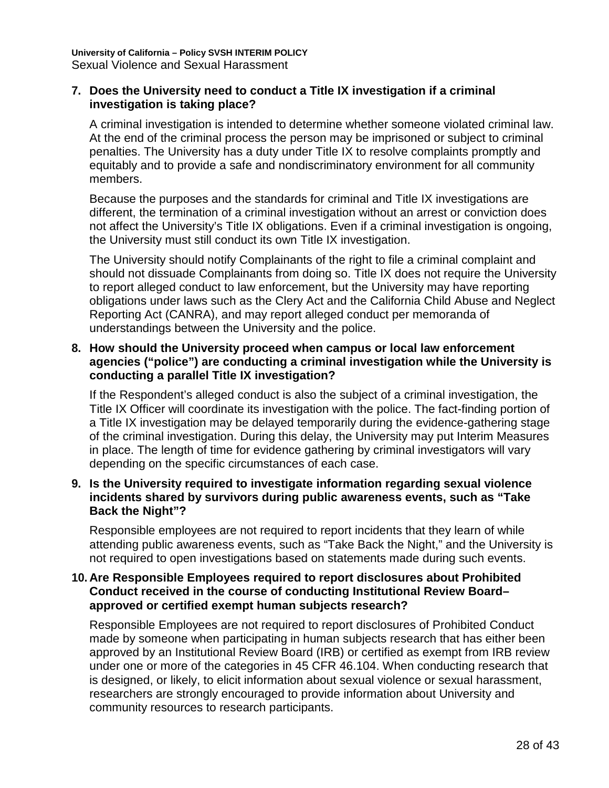#### **7. Does the University need to conduct a Title IX investigation if a criminal investigation is taking place?**

A criminal investigation is intended to determine whether someone violated criminal law. At the end of the criminal process the person may be imprisoned or subject to criminal penalties. The University has a duty under Title IX to resolve complaints promptly and equitably and to provide a safe and nondiscriminatory environment for all community members.

Because the purposes and the standards for criminal and Title IX investigations are different, the termination of a criminal investigation without an arrest or conviction does not affect the University's Title IX obligations. Even if a criminal investigation is ongoing, the University must still conduct its own Title IX investigation.

The University should notify Complainants of the right to file a criminal complaint and should not dissuade Complainants from doing so. Title IX does not require the University to report alleged conduct to law enforcement, but the University may have reporting obligations under laws such as the Clery Act and the California Child Abuse and Neglect Reporting Act (CANRA), and may report alleged conduct per memoranda of understandings between the University and the police.

#### **8. How should the University proceed when campus or local law enforcement agencies ("police") are conducting a criminal investigation while the University is conducting a parallel Title IX investigation?**

If the Respondent's alleged conduct is also the subject of a criminal investigation, the Title IX Officer will coordinate its investigation with the police. The fact-finding portion of a Title IX investigation may be delayed temporarily during the evidence-gathering stage of the criminal investigation. During this delay, the University may put Interim Measures in place. The length of time for evidence gathering by criminal investigators will vary depending on the specific circumstances of each case.

#### **9. Is the University required to investigate information regarding sexual violence incidents shared by survivors during public awareness events, such as "Take Back the Night"?**

Responsible employees are not required to report incidents that they learn of while attending public awareness events, such as "Take Back the Night," and the University is not required to open investigations based on statements made during such events.

#### **10. Are Responsible Employees required to report disclosures about Prohibited Conduct received in the course of conducting Institutional Review Board– approved or certified exempt human subjects research?**

Responsible Employees are not required to report disclosures of Prohibited Conduct made by someone when participating in human subjects research that has either been approved by an Institutional Review Board (IRB) or certified as exempt from IRB review under one or more of the categories in 45 CFR 46.104. When conducting research that is designed, or likely, to elicit information about sexual violence or sexual harassment, researchers are strongly encouraged to provide information about University and community resources to research participants.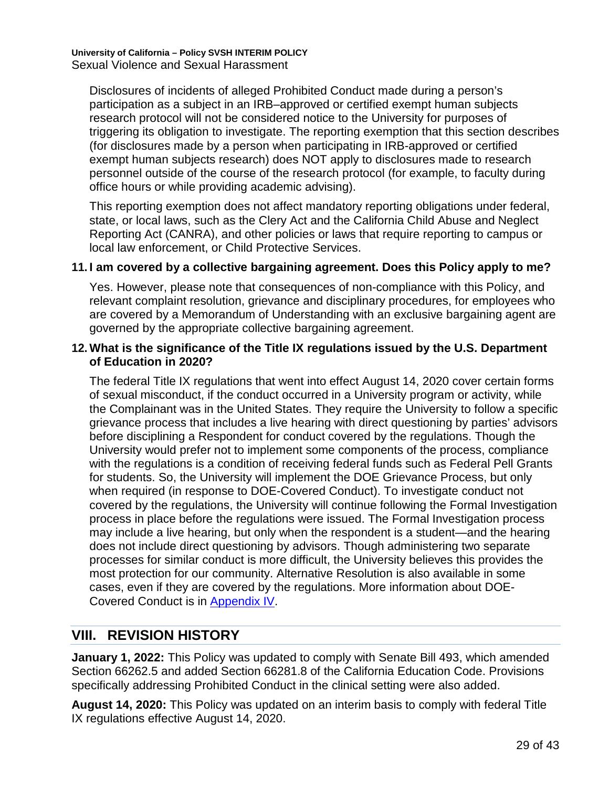Disclosures of incidents of alleged Prohibited Conduct made during a person's participation as a subject in an IRB–approved or certified exempt human subjects research protocol will not be considered notice to the University for purposes of triggering its obligation to investigate. The reporting exemption that this section describes (for disclosures made by a person when participating in IRB-approved or certified exempt human subjects research) does NOT apply to disclosures made to research personnel outside of the course of the research protocol (for example, to faculty during office hours or while providing academic advising).

This reporting exemption does not affect mandatory reporting obligations under federal, state, or local laws, such as the Clery Act and the California Child Abuse and Neglect Reporting Act (CANRA), and other policies or laws that require reporting to campus or local law enforcement, or Child Protective Services.

#### **11. I am covered by a collective bargaining agreement. Does this Policy apply to me?**

Yes. However, please note that consequences of non-compliance with this Policy, and relevant complaint resolution, grievance and disciplinary procedures, for employees who are covered by a Memorandum of Understanding with an exclusive bargaining agent are governed by the appropriate collective bargaining agreement.

#### **12. What is the significance of the Title IX regulations issued by the U.S. Department of Education in 2020?**

The federal Title IX regulations that went into effect August 14, 2020 cover certain forms of sexual misconduct, if the conduct occurred in a University program or activity, while the Complainant was in the United States. They require the University to follow a specific grievance process that includes a live hearing with direct questioning by parties' advisors before disciplining a Respondent for conduct covered by the regulations. Though the University would prefer not to implement some components of the process, compliance with the regulations is a condition of receiving federal funds such as Federal Pell Grants for students. So, the University will implement the DOE Grievance Process, but only when required (in response to DOE-Covered Conduct). To investigate conduct not covered by the regulations, the University will continue following the Formal Investigation process in place before the regulations were issued. The Formal Investigation process may include a live hearing, but only when the respondent is a student—and the hearing does not include direct questioning by advisors. Though administering two separate processes for similar conduct is more difficult, the University believes this provides the most protection for our community. Alternative Resolution is also available in some cases, even if they are covered by the regulations. More information about DOE-Covered Conduct is in [Appendix IV.](#page-34-0)

## <span id="page-28-0"></span>**VIII. REVISION HISTORY**

**January 1, 2022:** This Policy was updated to comply with Senate Bill 493, which amended Section 66262.5 and added Section 66281.8 of the California Education Code. Provisions specifically addressing Prohibited Conduct in the clinical setting were also added.

**August 14, 2020:** This Policy was updated on an interim basis to comply with federal Title IX regulations effective August 14, 2020.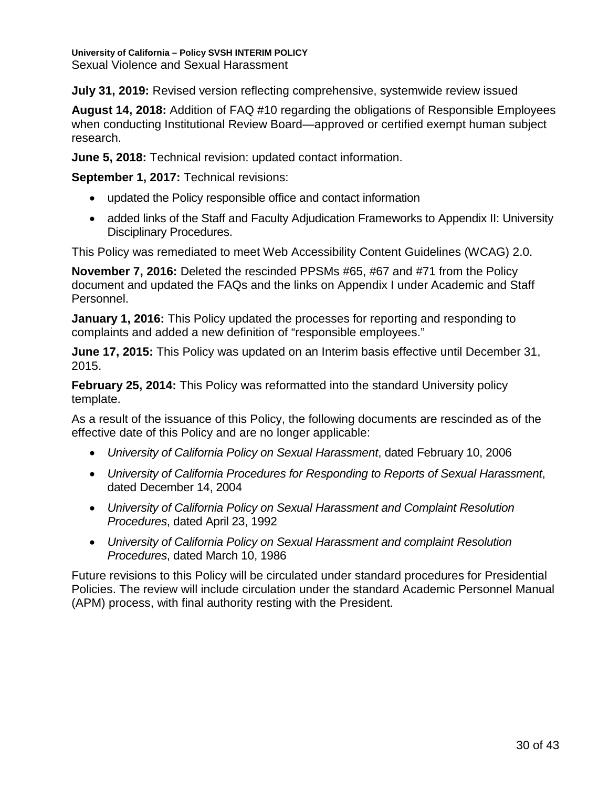**July 31, 2019:** Revised version reflecting comprehensive, systemwide review issued

**August 14, 2018:** Addition of FAQ #10 regarding the obligations of Responsible Employees when conducting Institutional Review Board—approved or certified exempt human subject research.

**June 5, 2018:** Technical revision: updated contact information.

**September 1, 2017:** Technical revisions:

- updated the Policy responsible office and contact information
- added links of the Staff and Faculty Adjudication Frameworks to Appendix II: University Disciplinary Procedures.

This Policy was remediated to meet Web Accessibility Content Guidelines (WCAG) 2.0.

**November 7, 2016:** Deleted the rescinded PPSMs #65, #67 and #71 from the Policy document and updated the FAQs and the links on Appendix I under Academic and Staff Personnel.

**January 1, 2016:** This Policy updated the processes for reporting and responding to complaints and added a new definition of "responsible employees."

**June 17, 2015:** This Policy was updated on an Interim basis effective until December 31, 2015.

**February 25, 2014:** This Policy was reformatted into the standard University policy template.

As a result of the issuance of this Policy, the following documents are rescinded as of the effective date of this Policy and are no longer applicable:

- *University of California Policy on Sexual Harassment*, dated February 10, 2006
- *University of California Procedures for Responding to Reports of Sexual Harassment*, dated December 14, 2004
- *University of California Policy on Sexual Harassment and Complaint Resolution Procedures*, dated April 23, 1992
- *University of California Policy on Sexual Harassment and complaint Resolution Procedures*, dated March 10, 1986

Future revisions to this Policy will be circulated under standard procedures for Presidential Policies. The review will include circulation under the standard Academic Personnel Manual (APM) process, with final authority resting with the President.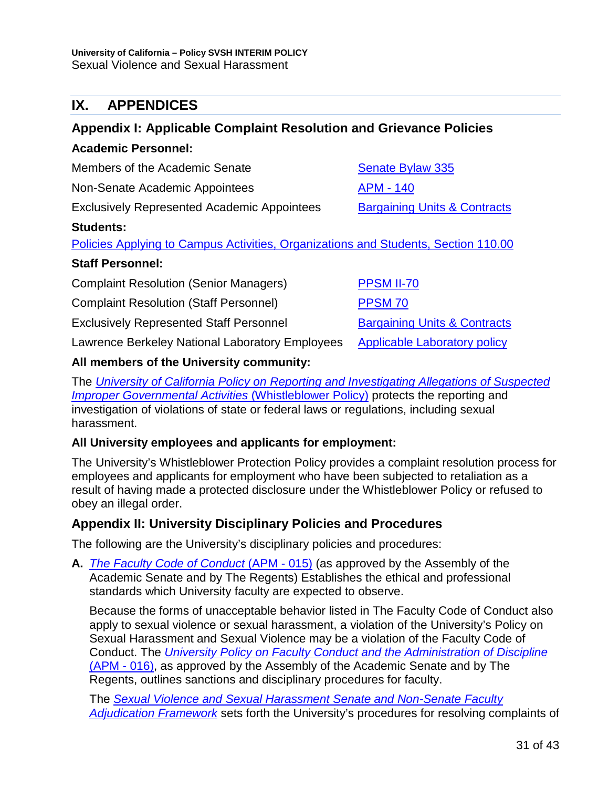# <span id="page-30-0"></span>**IX. APPENDICES**

# **Appendix I: Applicable Complaint Resolution and Grievance Policies Academic Personnel:**

| Members of the Academic Senate                                                     | Senate Bylaw 335                        |  |  |  |
|------------------------------------------------------------------------------------|-----------------------------------------|--|--|--|
| Non-Senate Academic Appointees                                                     | <b>APM - 140</b>                        |  |  |  |
| <b>Exclusively Represented Academic Appointees</b>                                 | <b>Bargaining Units &amp; Contracts</b> |  |  |  |
| <b>Students:</b>                                                                   |                                         |  |  |  |
| Policies Applying to Campus Activities, Organizations and Students, Section 110.00 |                                         |  |  |  |
| <b>Staff Personnel:</b>                                                            |                                         |  |  |  |
| <b>Complaint Resolution (Senior Managers)</b>                                      | <b>PPSM II-70</b>                       |  |  |  |
| <b>Complaint Resolution (Staff Personnel)</b>                                      | <b>PPSM 70</b>                          |  |  |  |
| <b>Exclusively Represented Staff Personnel</b>                                     | <b>Bargaining Units &amp; Contracts</b> |  |  |  |
| Lawrence Berkeley National Laboratory Employees                                    | <b>Applicable Laboratory policy</b>     |  |  |  |

#### **All members of the University community:**

The *[University of California Policy on Reporting and Investigating Allegations of Suspected](http://policy.ucop.edu/doc/1100171)  [Improper Governmental Activities](http://policy.ucop.edu/doc/1100171)* (Whistleblower Policy) protects the reporting and investigation of violations of state or federal laws or regulations, including sexual harassment.

#### **All University employees and applicants for employment:**

The University's Whistleblower Protection Policy provides a complaint resolution process for employees and applicants for employment who have been subjected to retaliation as a result of having made a protected disclosure under the Whistleblower Policy or refused to obey an illegal order.

## **Appendix II: University Disciplinary Policies and Procedures**

The following are the University's disciplinary policies and procedures:

**A.** *[The Faculty Code of Conduct](http://www.ucop.edu/academic-personnel/_files/apm/apm-015.pdf)* (APM - 015) (as approved by the Assembly of the Academic Senate and by The Regents) Establishes the ethical and professional standards which University faculty are expected to observe.

Because the forms of unacceptable behavior listed in The Faculty Code of Conduct also apply to sexual violence or sexual harassment, a violation of the University's Policy on Sexual Harassment and Sexual Violence may be a violation of the Faculty Code of Conduct. The *[University Policy on Faculty Conduct and the Administration of Discipline](http://www.ucop.edu/academic-personnel/_files/apm/apm-016.pdf)* [\(APM - 016\),](http://www.ucop.edu/academic-personnel/_files/apm/apm-016.pdf) as approved by the Assembly of the Academic Senate and by The Regents, outlines sanctions and disciplinary procedures for faculty.

The *[Sexual Violence and Sexual Harassment Senate and Non-Senate Faculty](https://www.ucop.edu/title-ix/_files/investigation-and-adjudication-framework-for-senate-and-non-senate-faculty.pdf)  [Adjudication Framework](https://www.ucop.edu/title-ix/_files/investigation-and-adjudication-framework-for-senate-and-non-senate-faculty.pdf)* sets forth the University's procedures for resolving complaints of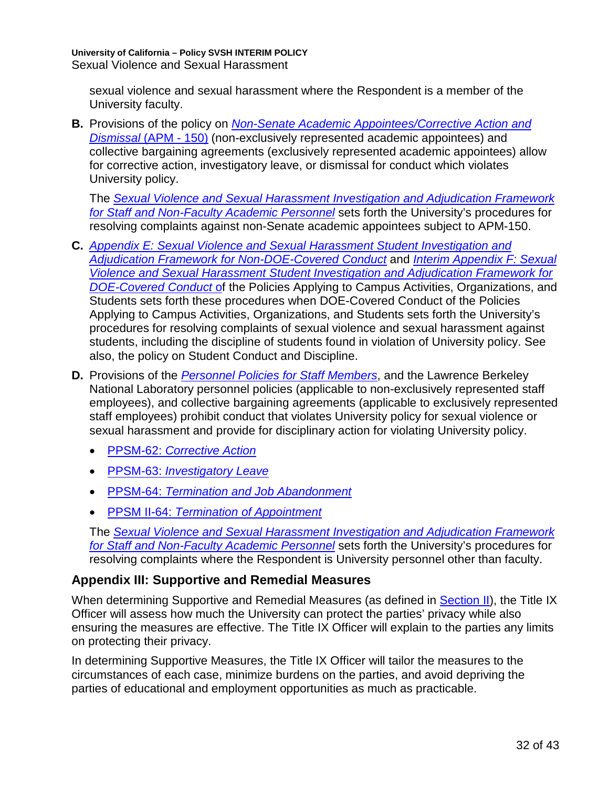sexual violence and sexual harassment where the Respondent is a member of the University faculty.

**B.** Provisions of the policy on *[Non-Senate Academic Appointees/Corrective Action and](http://www.ucop.edu/academic-personnel/_files/apm/apm-150.pdf)  Dismissal* [\(APM - 150\)](http://www.ucop.edu/academic-personnel/_files/apm/apm-150.pdf) (non-exclusively represented academic appointees) and collective bargaining agreements (exclusively represented academic appointees) allow for corrective action, investigatory leave, or dismissal for conduct which violates University policy.

The *[Sexual Violence and Sexual Harassment Investigation and Adjudication Framework](https://ucop.edu/title-ix/_files/investigation-and-adjudication-framework-for-staff-and-non-faculty-academic-personnel.pdf)  [for Staff and Non-Faculty Academic Personnel](https://ucop.edu/title-ix/_files/investigation-and-adjudication-framework-for-staff-and-non-faculty-academic-personnel.pdf)* sets forth the University's procedures for resolving complaints against non-Senate academic appointees subject to APM-150.

- **C.** *[Appendix E: Sexual Violence and Sexual Harassment Student](https://policy.ucop.edu/doc/2710641/PACAOS-Appendix-E) Investigation and [Adjudication Framework for Non-DOE-Covered Conduct](https://policy.ucop.edu/doc/2710641/PACAOS-Appendix-E)* and *[Interim Appendix F: Sexual](https://policy.ucop.edu/doc/2700689/PACAOS%20Appendix%20F)  [Violence and Sexual Harassment Student Investigation and Adjudication Framework for](https://policy.ucop.edu/doc/2700689/PACAOS%20Appendix%20F)  [DOE-Covered Conduct](https://policy.ucop.edu/doc/2700689/PACAOS%20Appendix%20F)* of the Policies Applying to Campus Activities, Organizations, and Students sets forth these procedures when DOE-Covered Conduct of the Policies Applying to Campus Activities, Organizations, and Students sets forth the University's procedures for resolving complaints of sexual violence and sexual harassment against students, including the discipline of students found in violation of University policy. See also, the policy on Student Conduct and Discipline.
- **D.** Provisions of the *[Personnel Policies for Staff Members](http://policy.ucop.edu/doc/4010391)*, and the Lawrence Berkeley National Laboratory personnel policies (applicable to non-exclusively represented staff employees), and collective bargaining agreements (applicable to exclusively represented staff employees) prohibit conduct that violates University policy for sexual violence or sexual harassment and provide for disciplinary action for violating University policy.
	- PPSM-62: *[Corrective Action](http://policy.ucop.edu/doc/4010411)*
	- PPSM-63: *[Investigatory Leave](http://policy.ucop.edu/doc/4010412)*
	- PPSM-64: *[Termination and Job Abandonment](http://policy.ucop.edu/doc/4010413)*
	- PPSM II-64: *[Termination of Appointment](http://policy.ucop.edu/doc/4010578/PPSM-II-64)*

The *[Sexual Violence and Sexual Harassment Investigation and Adjudication Framework](https://ucop.edu/title-ix/_files/investigation-and-adjudication-framework-for-staff-and-non-faculty-academic-personnel.pdf)  [for Staff and Non-Faculty Academic Personnel](https://ucop.edu/title-ix/_files/investigation-and-adjudication-framework-for-staff-and-non-faculty-academic-personnel.pdf)* sets forth the University's procedures for resolving complaints where the Respondent is University personnel other than faculty.

# **Appendix III: Supportive and Remedial Measures**

When determining Supportive and Remedial Measures (as defined in [Section II\)](#page-7-0), the Title IX Officer will assess how much the University can protect the parties' privacy while also ensuring the measures are effective. The Title IX Officer will explain to the parties any limits on protecting their privacy.

In determining Supportive Measures, the Title IX Officer will tailor the measures to the circumstances of each case, minimize burdens on the parties, and avoid depriving the parties of educational and employment opportunities as much as practicable.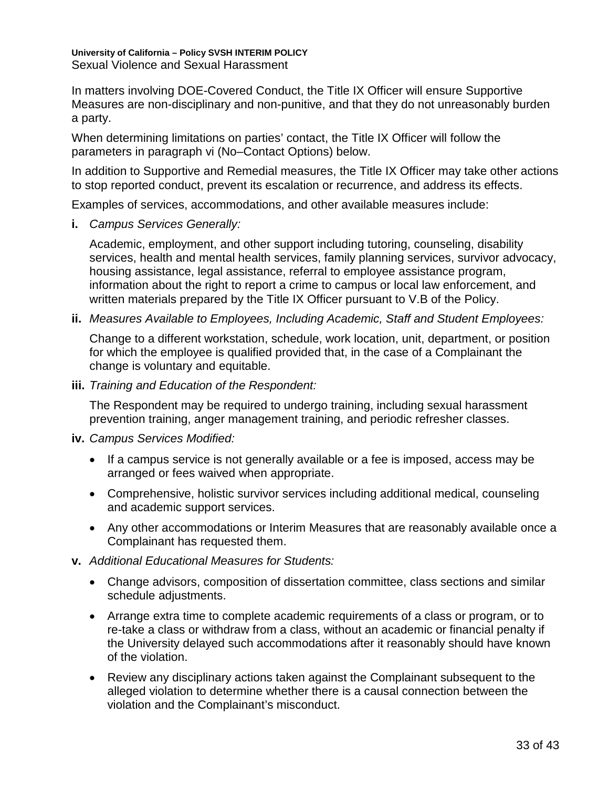In matters involving DOE-Covered Conduct, the Title IX Officer will ensure Supportive Measures are non-disciplinary and non-punitive, and that they do not unreasonably burden a party.

When determining limitations on parties' contact, the Title IX Officer will follow the parameters in paragraph vi (No–Contact Options) below.

In addition to Supportive and Remedial measures, the Title IX Officer may take other actions to stop reported conduct, prevent its escalation or recurrence, and address its effects.

Examples of services, accommodations, and other available measures include:

**i.** *Campus Services Generally:*

Academic, employment, and other support including tutoring, counseling, disability services, health and mental health services, family planning services, survivor advocacy, housing assistance, legal assistance, referral to employee assistance program, information about the right to report a crime to campus or local law enforcement, and written materials prepared by the Title IX Officer pursuant to V.B of the Policy.

**ii.** *Measures Available to Employees, Including Academic, Staff and Student Employees:*

Change to a different workstation, schedule, work location, unit, department, or position for which the employee is qualified provided that, in the case of a Complainant the change is voluntary and equitable.

**iii.** *Training and Education of the Respondent:*

The Respondent may be required to undergo training, including sexual harassment prevention training, anger management training, and periodic refresher classes.

#### **iv.** *Campus Services Modified:*

- If a campus service is not generally available or a fee is imposed, access may be arranged or fees waived when appropriate.
- Comprehensive, holistic survivor services including additional medical, counseling and academic support services.
- Any other accommodations or Interim Measures that are reasonably available once a Complainant has requested them.
- **v.** *Additional Educational Measures for Students:*
	- Change advisors, composition of dissertation committee, class sections and similar schedule adjustments.
	- Arrange extra time to complete academic requirements of a class or program, or to re-take a class or withdraw from a class, without an academic or financial penalty if the University delayed such accommodations after it reasonably should have known of the violation.
	- Review any disciplinary actions taken against the Complainant subsequent to the alleged violation to determine whether there is a causal connection between the violation and the Complainant's misconduct.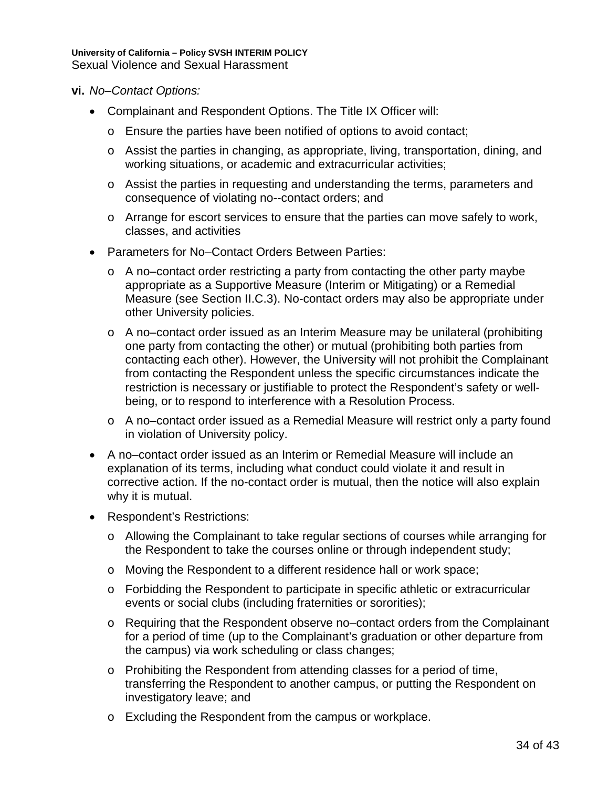- **vi.** *No–Contact Options:*
	- Complainant and Respondent Options. The Title IX Officer will:
		- o Ensure the parties have been notified of options to avoid contact;
		- o Assist the parties in changing, as appropriate, living, transportation, dining, and working situations, or academic and extracurricular activities;
		- o Assist the parties in requesting and understanding the terms, parameters and consequence of violating no--contact orders; and
		- o Arrange for escort services to ensure that the parties can move safely to work, classes, and activities
	- Parameters for No–Contact Orders Between Parties:
		- o A no–contact order restricting a party from contacting the other party maybe appropriate as a Supportive Measure (Interim or Mitigating) or a Remedial Measure (see Section II.C.3). No-contact orders may also be appropriate under other University policies.
		- $\circ$  A no–contact order issued as an Interim Measure may be unilateral (prohibiting one party from contacting the other) or mutual (prohibiting both parties from contacting each other). However, the University will not prohibit the Complainant from contacting the Respondent unless the specific circumstances indicate the restriction is necessary or justifiable to protect the Respondent's safety or wellbeing, or to respond to interference with a Resolution Process.
		- o A no–contact order issued as a Remedial Measure will restrict only a party found in violation of University policy.
	- A no–contact order issued as an Interim or Remedial Measure will include an explanation of its terms, including what conduct could violate it and result in corrective action. If the no-contact order is mutual, then the notice will also explain why it is mutual.
	- Respondent's Restrictions:
		- o Allowing the Complainant to take regular sections of courses while arranging for the Respondent to take the courses online or through independent study;
		- o Moving the Respondent to a different residence hall or work space;
		- o Forbidding the Respondent to participate in specific athletic or extracurricular events or social clubs (including fraternities or sororities);
		- o Requiring that the Respondent observe no–contact orders from the Complainant for a period of time (up to the Complainant's graduation or other departure from the campus) via work scheduling or class changes;
		- o Prohibiting the Respondent from attending classes for a period of time, transferring the Respondent to another campus, or putting the Respondent on investigatory leave; and
		- o Excluding the Respondent from the campus or workplace.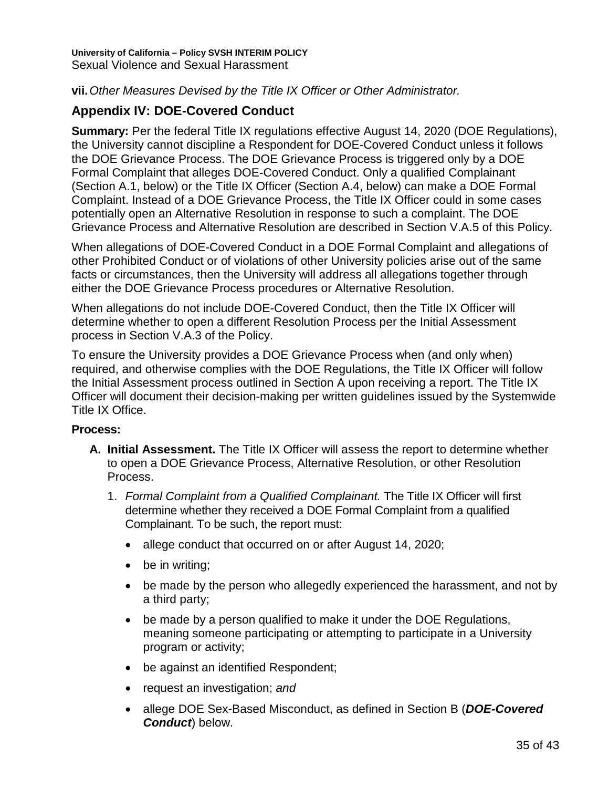**vii.***Other Measures Devised by the Title IX Officer or Other Administrator.*

# <span id="page-34-0"></span>**Appendix IV: DOE-Covered Conduct**

**Summary:** Per the federal Title IX regulations effective August 14, 2020 (DOE Regulations), the University cannot discipline a Respondent for DOE-Covered Conduct unless it follows the DOE Grievance Process. The DOE Grievance Process is triggered only by a DOE Formal Complaint that alleges DOE-Covered Conduct. Only a qualified Complainant (Section A.1, below) or the Title IX Officer (Section A.4, below) can make a DOE Formal Complaint. Instead of a DOE Grievance Process, the Title IX Officer could in some cases potentially open an Alternative Resolution in response to such a complaint. The DOE Grievance Process and Alternative Resolution are described in Section V.A.5 of this Policy.

When allegations of DOE-Covered Conduct in a DOE Formal Complaint and allegations of other Prohibited Conduct or of violations of other University policies arise out of the same facts or circumstances, then the University will address all allegations together through either the DOE Grievance Process procedures or Alternative Resolution.

When allegations do not include DOE-Covered Conduct, then the Title IX Officer will determine whether to open a different Resolution Process per the Initial Assessment process in Section V.A.3 of the Policy.

To ensure the University provides a DOE Grievance Process when (and only when) required, and otherwise complies with the DOE Regulations, the Title IX Officer will follow the Initial Assessment process outlined in Section A upon receiving a report. The Title IX Officer will document their decision-making per written guidelines issued by the Systemwide Title IX Office.

#### **Process:**

- **A. Initial Assessment.** The Title IX Officer will assess the report to determine whether to open a DOE Grievance Process, Alternative Resolution, or other Resolution Process.
	- 1. *Formal Complaint from a Qualified Complainant.* The Title IX Officer will first determine whether they received a DOE Formal Complaint from a qualified Complainant. To be such, the report must:
		- allege conduct that occurred on or after August 14, 2020;
		- be in writing;
		- be made by the person who allegedly experienced the harassment, and not by a third party;
		- be made by a person qualified to make it under the DOE Regulations, meaning someone participating or attempting to participate in a University program or activity;
		- be against an identified Respondent;
		- request an investigation; *and*
		- allege DOE Sex-Based Misconduct, as defined in Section B (*DOE-Covered Conduct*) below.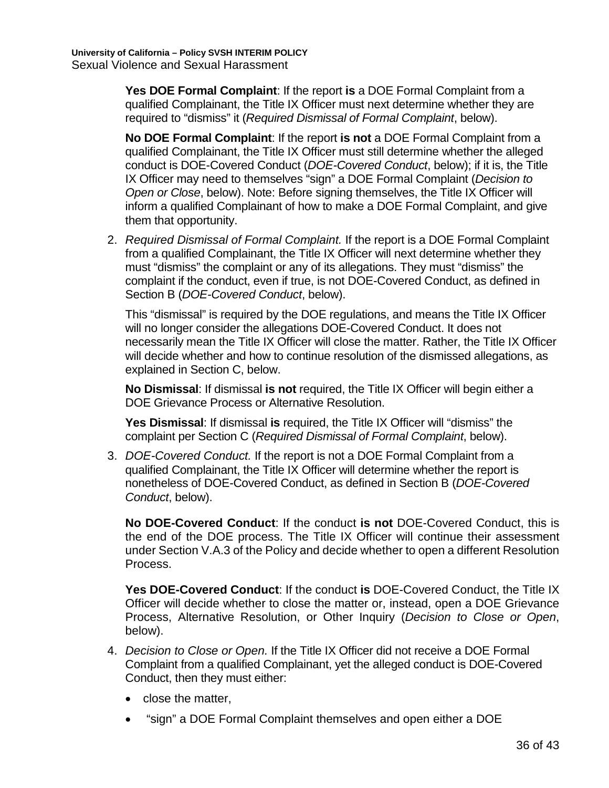**Yes DOE Formal Complaint**: If the report **is** a DOE Formal Complaint from a qualified Complainant, the Title IX Officer must next determine whether they are required to "dismiss" it (*Required Dismissal of Formal Complaint*, below).

**No DOE Formal Complaint**: If the report **is not** a DOE Formal Complaint from a qualified Complainant, the Title IX Officer must still determine whether the alleged conduct is DOE-Covered Conduct (*DOE-Covered Conduct*, below); if it is, the Title IX Officer may need to themselves "sign" a DOE Formal Complaint (*Decision to Open or Close*, below). Note: Before signing themselves, the Title IX Officer will inform a qualified Complainant of how to make a DOE Formal Complaint, and give them that opportunity.

2. *Required Dismissal of Formal Complaint.* If the report is a DOE Formal Complaint from a qualified Complainant, the Title IX Officer will next determine whether they must "dismiss" the complaint or any of its allegations. They must "dismiss" the complaint if the conduct, even if true, is not DOE-Covered Conduct, as defined in Section B (*DOE-Covered Conduct*, below).

This "dismissal" is required by the DOE regulations, and means the Title IX Officer will no longer consider the allegations DOE-Covered Conduct. It does not necessarily mean the Title IX Officer will close the matter. Rather, the Title IX Officer will decide whether and how to continue resolution of the dismissed allegations, as explained in Section C, below.

**No Dismissal**: If dismissal **is not** required, the Title IX Officer will begin either a DOE Grievance Process or Alternative Resolution.

**Yes Dismissal**: If dismissal **is** required, the Title IX Officer will "dismiss" the complaint per Section C (*Required Dismissal of Formal Complaint*, below).

3. *DOE-Covered Conduct.* If the report is not a DOE Formal Complaint from a qualified Complainant, the Title IX Officer will determine whether the report is nonetheless of DOE-Covered Conduct, as defined in Section B (*DOE-Covered Conduct*, below).

**No DOE-Covered Conduct**: If the conduct **is not** DOE-Covered Conduct, this is the end of the DOE process. The Title IX Officer will continue their assessment under Section V.A.3 of the Policy and decide whether to open a different Resolution Process.

**Yes DOE-Covered Conduct**: If the conduct **is** DOE-Covered Conduct, the Title IX Officer will decide whether to close the matter or, instead, open a DOE Grievance Process, Alternative Resolution, or Other Inquiry (*Decision to Close or Open*, below).

- 4. *Decision to Close or Open.* If the Title IX Officer did not receive a DOE Formal Complaint from a qualified Complainant, yet the alleged conduct is DOE-Covered Conduct, then they must either:
	- close the matter,
	- "sign" a DOE Formal Complaint themselves and open either a DOE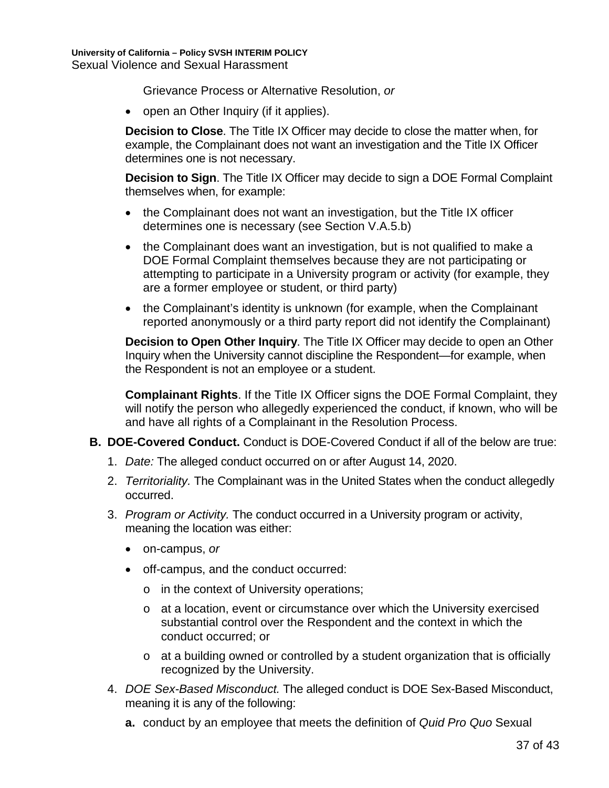Grievance Process or Alternative Resolution, *or*

• open an Other Inquiry (if it applies).

**Decision to Close**. The Title IX Officer may decide to close the matter when, for example, the Complainant does not want an investigation and the Title IX Officer determines one is not necessary.

**Decision to Sign**. The Title IX Officer may decide to sign a DOE Formal Complaint themselves when, for example:

- the Complainant does not want an investigation, but the Title IX officer determines one is necessary (see Section V.A.5.b)
- the Complainant does want an investigation, but is not qualified to make a DOE Formal Complaint themselves because they are not participating or attempting to participate in a University program or activity (for example, they are a former employee or student, or third party)
- the Complainant's identity is unknown (for example, when the Complainant reported anonymously or a third party report did not identify the Complainant)

**Decision to Open Other Inquiry**. The Title IX Officer may decide to open an Other Inquiry when the University cannot discipline the Respondent—for example, when the Respondent is not an employee or a student.

**Complainant Rights**. If the Title IX Officer signs the DOE Formal Complaint, they will notify the person who allegedly experienced the conduct, if known, who will be and have all rights of a Complainant in the Resolution Process.

- **B. DOE-Covered Conduct.** Conduct is DOE-Covered Conduct if all of the below are true:
	- 1. *Date:* The alleged conduct occurred on or after August 14, 2020.
	- 2. *Territoriality.* The Complainant was in the United States when the conduct allegedly occurred.
	- 3. *Program or Activity.* The conduct occurred in a University program or activity, meaning the location was either:
		- on-campus, *or*
		- off-campus, and the conduct occurred:
			- o in the context of University operations;
			- o at a location, event or circumstance over which the University exercised substantial control over the Respondent and the context in which the conduct occurred; or
			- o at a building owned or controlled by a student organization that is officially recognized by the University.
	- 4. *DOE Sex-Based Misconduct.* The alleged conduct is DOE Sex-Based Misconduct, meaning it is any of the following:
		- **a.** conduct by an employee that meets the definition of *Quid Pro Quo* Sexual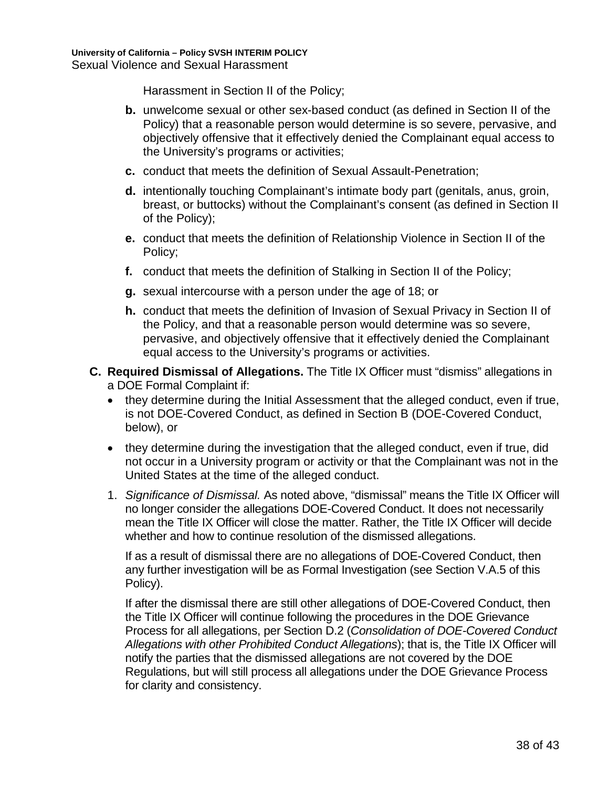Harassment in Section II of the Policy;

- **b.** unwelcome sexual or other sex-based conduct (as defined in Section II of the Policy) that a reasonable person would determine is so severe, pervasive, and objectively offensive that it effectively denied the Complainant equal access to the University's programs or activities;
- **c.** conduct that meets the definition of Sexual Assault-Penetration;
- **d.** intentionally touching Complainant's intimate body part (genitals, anus, groin, breast, or buttocks) without the Complainant's consent (as defined in Section II of the Policy);
- **e.** conduct that meets the definition of Relationship Violence in Section II of the Policy;
- **f.** conduct that meets the definition of Stalking in Section II of the Policy;
- **g.** sexual intercourse with a person under the age of 18; or
- **h.** conduct that meets the definition of Invasion of Sexual Privacy in Section II of the Policy, and that a reasonable person would determine was so severe, pervasive, and objectively offensive that it effectively denied the Complainant equal access to the University's programs or activities.
- **C. Required Dismissal of Allegations.** The Title IX Officer must "dismiss" allegations in a DOE Formal Complaint if:
	- they determine during the Initial Assessment that the alleged conduct, even if true, is not DOE-Covered Conduct, as defined in Section B (DOE-Covered Conduct, below), or
	- they determine during the investigation that the alleged conduct, even if true, did not occur in a University program or activity or that the Complainant was not in the United States at the time of the alleged conduct.
	- 1. *Significance of Dismissal.* As noted above, "dismissal" means the Title IX Officer will no longer consider the allegations DOE-Covered Conduct. It does not necessarily mean the Title IX Officer will close the matter. Rather, the Title IX Officer will decide whether and how to continue resolution of the dismissed allegations.

If as a result of dismissal there are no allegations of DOE-Covered Conduct, then any further investigation will be as Formal Investigation (see Section V.A.5 of this Policy).

If after the dismissal there are still other allegations of DOE-Covered Conduct, then the Title IX Officer will continue following the procedures in the DOE Grievance Process for all allegations, per Section D.2 (*Consolidation of DOE-Covered Conduct Allegations with other Prohibited Conduct Allegations*); that is, the Title IX Officer will notify the parties that the dismissed allegations are not covered by the DOE Regulations, but will still process all allegations under the DOE Grievance Process for clarity and consistency.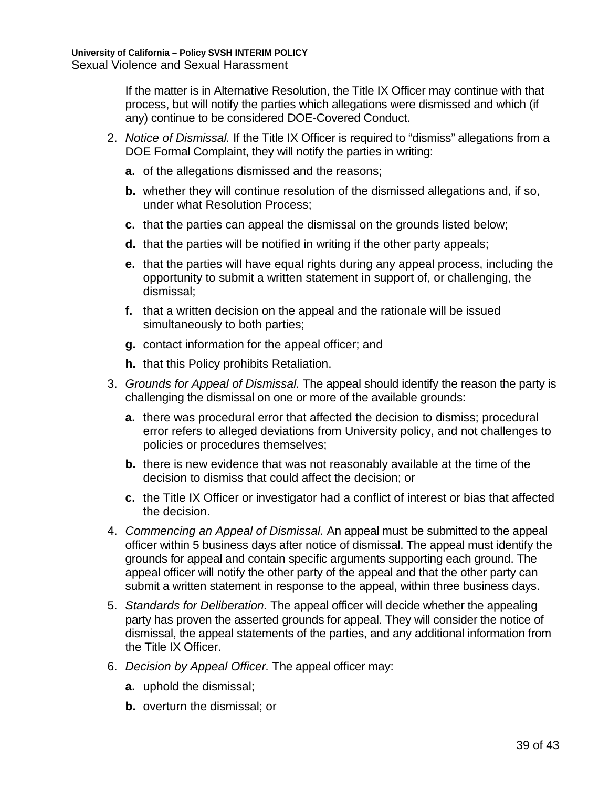If the matter is in Alternative Resolution, the Title IX Officer may continue with that process, but will notify the parties which allegations were dismissed and which (if any) continue to be considered DOE-Covered Conduct.

- 2. *Notice of Dismissal.* If the Title IX Officer is required to "dismiss" allegations from a DOE Formal Complaint, they will notify the parties in writing:
	- **a.** of the allegations dismissed and the reasons;
	- **b.** whether they will continue resolution of the dismissed allegations and, if so, under what Resolution Process;
	- **c.** that the parties can appeal the dismissal on the grounds listed below;
	- **d.** that the parties will be notified in writing if the other party appeals;
	- **e.** that the parties will have equal rights during any appeal process, including the opportunity to submit a written statement in support of, or challenging, the dismissal;
	- **f.** that a written decision on the appeal and the rationale will be issued simultaneously to both parties;
	- **g.** contact information for the appeal officer; and
	- **h.** that this Policy prohibits Retaliation.
- 3. *Grounds for Appeal of Dismissal.* The appeal should identify the reason the party is challenging the dismissal on one or more of the available grounds:
	- **a.** there was procedural error that affected the decision to dismiss; procedural error refers to alleged deviations from University policy, and not challenges to policies or procedures themselves;
	- **b.** there is new evidence that was not reasonably available at the time of the decision to dismiss that could affect the decision; or
	- **c.** the Title IX Officer or investigator had a conflict of interest or bias that affected the decision.
- 4. *Commencing an Appeal of Dismissal.* An appeal must be submitted to the appeal officer within 5 business days after notice of dismissal. The appeal must identify the grounds for appeal and contain specific arguments supporting each ground. The appeal officer will notify the other party of the appeal and that the other party can submit a written statement in response to the appeal, within three business days.
- 5. *Standards for Deliberation.* The appeal officer will decide whether the appealing party has proven the asserted grounds for appeal. They will consider the notice of dismissal, the appeal statements of the parties, and any additional information from the Title IX Officer.
- 6. *Decision by Appeal Officer.* The appeal officer may:
	- **a.** uphold the dismissal;
	- **b.** overturn the dismissal; or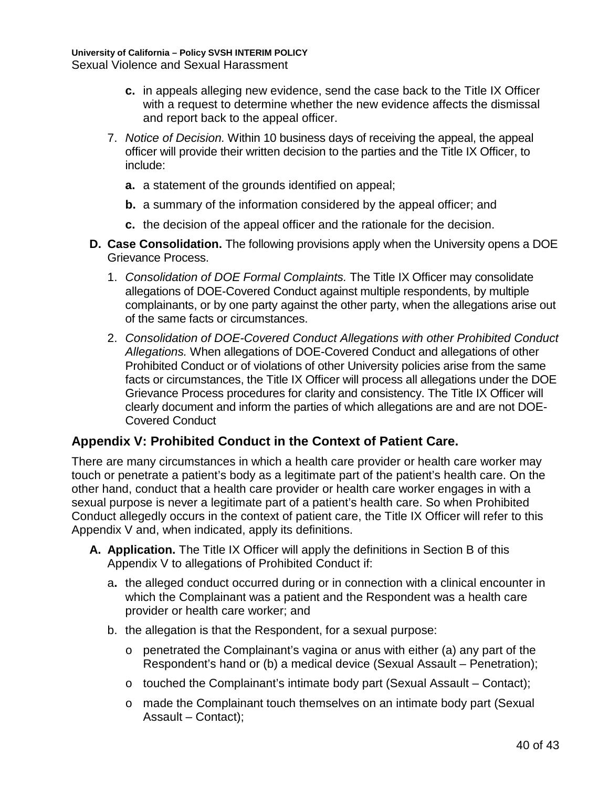- **c.** in appeals alleging new evidence, send the case back to the Title IX Officer with a request to determine whether the new evidence affects the dismissal and report back to the appeal officer.
- 7. *Notice of Decision.* Within 10 business days of receiving the appeal, the appeal officer will provide their written decision to the parties and the Title IX Officer, to include:
	- **a.** a statement of the grounds identified on appeal;
	- **b.** a summary of the information considered by the appeal officer; and
	- **c.** the decision of the appeal officer and the rationale for the decision.
- **D. Case Consolidation.** The following provisions apply when the University opens a DOE Grievance Process.
	- 1. *Consolidation of DOE Formal Complaints.* The Title IX Officer may consolidate allegations of DOE-Covered Conduct against multiple respondents, by multiple complainants, or by one party against the other party, when the allegations arise out of the same facts or circumstances.
	- 2. *Consolidation of DOE-Covered Conduct Allegations with other Prohibited Conduct Allegations.* When allegations of DOE-Covered Conduct and allegations of other Prohibited Conduct or of violations of other University policies arise from the same facts or circumstances, the Title IX Officer will process all allegations under the DOE Grievance Process procedures for clarity and consistency. The Title IX Officer will clearly document and inform the parties of which allegations are and are not DOE-Covered Conduct

# **Appendix V: Prohibited Conduct in the Context of Patient Care.**

There are many circumstances in which a health care provider or health care worker may touch or penetrate a patient's body as a legitimate part of the patient's health care. On the other hand, conduct that a health care provider or health care worker engages in with a sexual purpose is never a legitimate part of a patient's health care. So when Prohibited Conduct allegedly occurs in the context of patient care, the Title IX Officer will refer to this Appendix V and, when indicated, apply its definitions.

- **A. Application.** The Title IX Officer will apply the definitions in Section B of this Appendix V to allegations of Prohibited Conduct if:
	- a**.** the alleged conduct occurred during or in connection with a clinical encounter in which the Complainant was a patient and the Respondent was a health care provider or health care worker; and
	- b. the allegation is that the Respondent, for a sexual purpose:
		- $\circ$  penetrated the Complainant's vagina or anus with either (a) any part of the Respondent's hand or (b) a medical device (Sexual Assault – Penetration);
		- o touched the Complainant's intimate body part (Sexual Assault Contact);
		- o made the Complainant touch themselves on an intimate body part (Sexual Assault – Contact);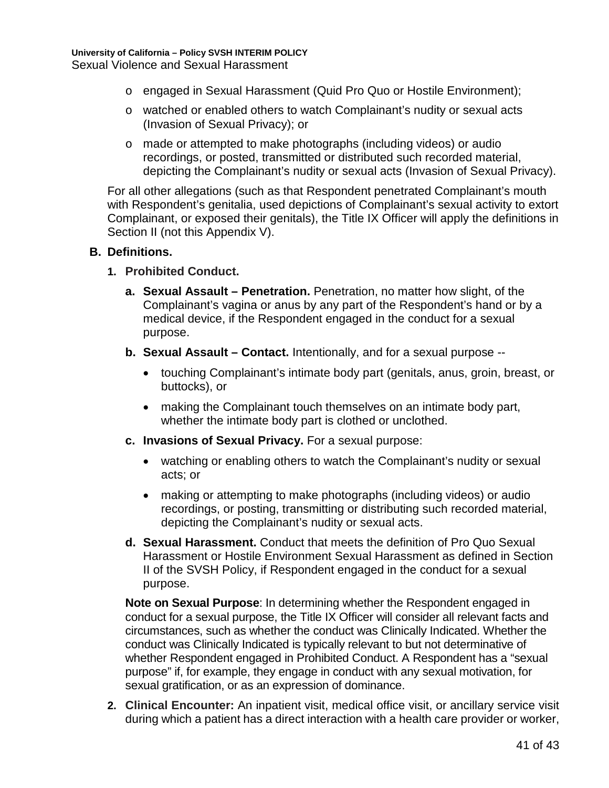- o engaged in Sexual Harassment (Quid Pro Quo or Hostile Environment);
- o watched or enabled others to watch Complainant's nudity or sexual acts (Invasion of Sexual Privacy); or
- o made or attempted to make photographs (including videos) or audio recordings, or posted, transmitted or distributed such recorded material, depicting the Complainant's nudity or sexual acts (Invasion of Sexual Privacy).

For all other allegations (such as that Respondent penetrated Complainant's mouth with Respondent's genitalia, used depictions of Complainant's sexual activity to extort Complainant, or exposed their genitals), the Title IX Officer will apply the definitions in Section II (not this Appendix V).

#### **B. Definitions.**

- **1. Prohibited Conduct.** 
	- **a. Sexual Assault Penetration.** Penetration, no matter how slight, of the Complainant's vagina or anus by any part of the Respondent's hand or by a medical device, if the Respondent engaged in the conduct for a sexual purpose.
	- **b. Sexual Assault Contact.** Intentionally, and for a sexual purpose --
		- touching Complainant's intimate body part (genitals, anus, groin, breast, or buttocks), or
		- making the Complainant touch themselves on an intimate body part, whether the intimate body part is clothed or unclothed.
	- **c. Invasions of Sexual Privacy.** For a sexual purpose:
		- watching or enabling others to watch the Complainant's nudity or sexual acts; or
		- making or attempting to make photographs (including videos) or audio recordings, or posting, transmitting or distributing such recorded material, depicting the Complainant's nudity or sexual acts.
	- **d. Sexual Harassment.** Conduct that meets the definition of Pro Quo Sexual Harassment or Hostile Environment Sexual Harassment as defined in Section II of the SVSH Policy, if Respondent engaged in the conduct for a sexual purpose.

**Note on Sexual Purpose**: In determining whether the Respondent engaged in conduct for a sexual purpose, the Title IX Officer will consider all relevant facts and circumstances, such as whether the conduct was Clinically Indicated. Whether the conduct was Clinically Indicated is typically relevant to but not determinative of whether Respondent engaged in Prohibited Conduct. A Respondent has a "sexual purpose" if, for example, they engage in conduct with any sexual motivation, for sexual gratification, or as an expression of dominance.

**2. Clinical Encounter:** An inpatient visit, medical office visit, or ancillary service visit during which a patient has a direct interaction with a health care provider or worker,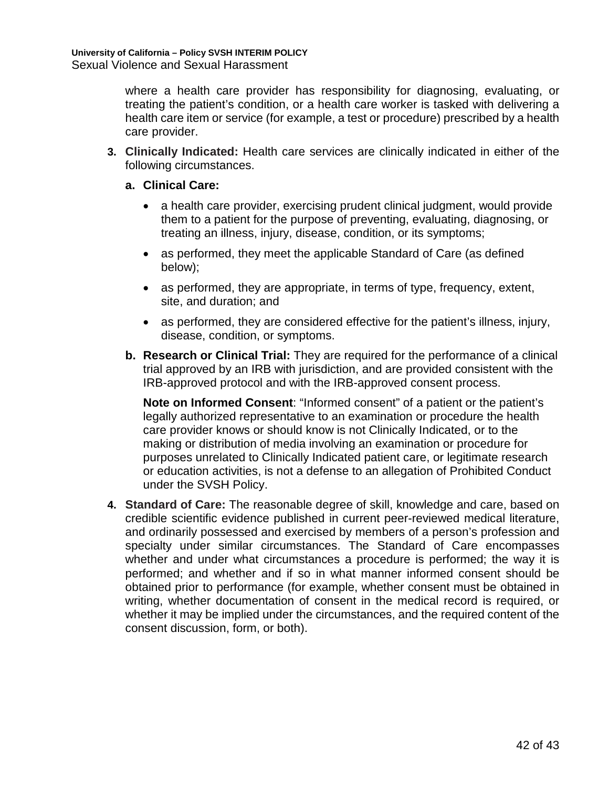where a health care provider has responsibility for diagnosing, evaluating, or treating the patient's condition, or a health care worker is tasked with delivering a health care item or service (for example, a test or procedure) prescribed by a health care provider.

- **3. Clinically Indicated:** Health care services are clinically indicated in either of the following circumstances.
	- **a. Clinical Care:** 
		- a health care provider, exercising prudent clinical judgment, would provide them to a patient for the purpose of preventing, evaluating, diagnosing, or treating an illness, injury, disease, condition, or its symptoms;
		- as performed, they meet the applicable Standard of Care (as defined below);
		- as performed, they are appropriate, in terms of type, frequency, extent, site, and duration; and
		- as performed, they are considered effective for the patient's illness, injury, disease, condition, or symptoms.
	- **b. Research or Clinical Trial:** They are required for the performance of a clinical trial approved by an IRB with jurisdiction, and are provided consistent with the IRB-approved protocol and with the IRB-approved consent process.

**Note on Informed Consent**: "Informed consent" of a patient or the patient's legally authorized representative to an examination or procedure the health care provider knows or should know is not Clinically Indicated, or to the making or distribution of media involving an examination or procedure for purposes unrelated to Clinically Indicated patient care, or legitimate research or education activities, is not a defense to an allegation of Prohibited Conduct under the SVSH Policy.

**4. Standard of Care:** The reasonable degree of skill, knowledge and care, based on credible scientific evidence published in current peer-reviewed medical literature, and ordinarily possessed and exercised by members of a person's profession and specialty under similar circumstances. The Standard of Care encompasses whether and under what circumstances a procedure is performed; the way it is performed; and whether and if so in what manner informed consent should be obtained prior to performance (for example, whether consent must be obtained in writing, whether documentation of consent in the medical record is required, or whether it may be implied under the circumstances, and the required content of the consent discussion, form, or both).